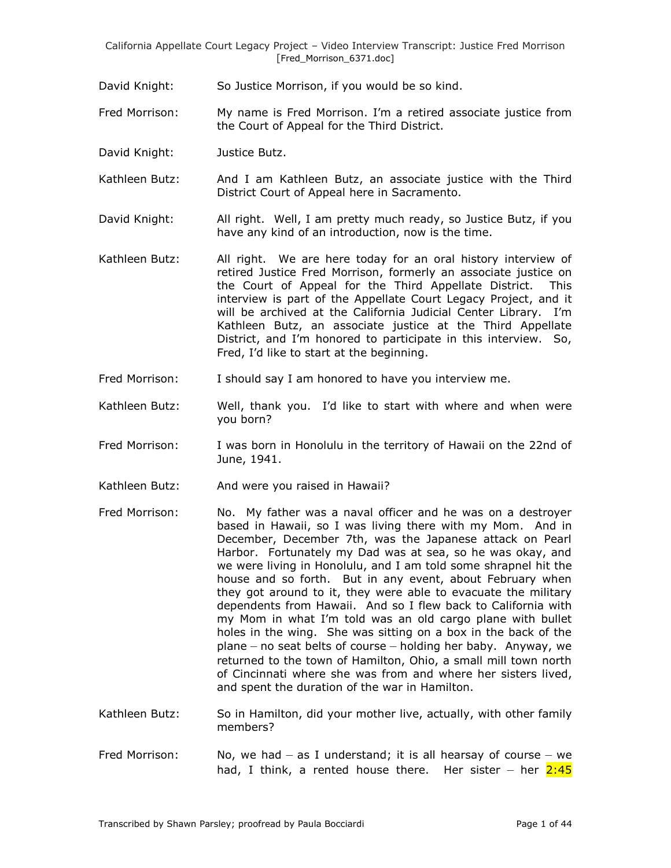David Knight: So Justice Morrison, if you would be so kind.

Fred Morrison: My name is Fred Morrison. I'm a retired associate justice from the Court of Appeal for the Third District.

David Knight: Justice Butz.

Kathleen Butz: And I am Kathleen Butz, an associate justice with the Third District Court of Appeal here in Sacramento.

David Knight: All right. Well, I am pretty much ready, so Justice Butz, if you have any kind of an introduction, now is the time.

- Kathleen Butz: All right. We are here today for an oral history interview of retired Justice Fred Morrison, formerly an associate justice on the Court of Appeal for the Third Appellate District. This interview is part of the Appellate Court Legacy Project, and it will be archived at the California Judicial Center Library. I'm Kathleen Butz, an associate justice at the Third Appellate District, and I'm honored to participate in this interview. So, Fred, I'd like to start at the beginning.
- Fred Morrison: I should say I am honored to have you interview me.
- Kathleen Butz: Well, thank you. I'd like to start with where and when were you born?
- Fred Morrison: I was born in Honolulu in the territory of Hawaii on the 22nd of June, 1941.
- Kathleen Butz: And were you raised in Hawaii?
- Fred Morrison: No. My father was a naval officer and he was on a destroyer based in Hawaii, so I was living there with my Mom. And in December, December 7th, was the Japanese attack on Pearl Harbor. Fortunately my Dad was at sea, so he was okay, and we were living in Honolulu, and I am told some shrapnel hit the house and so forth. But in any event, about February when they got around to it, they were able to evacuate the military dependents from Hawaii. And so I flew back to California with my Mom in what I'm told was an old cargo plane with bullet holes in the wing. She was sitting on a box in the back of the plane – no seat belts of course – holding her baby. Anyway, we returned to the town of Hamilton, Ohio, a small mill town north of Cincinnati where she was from and where her sisters lived, and spent the duration of the war in Hamilton.
- Kathleen Butz: So in Hamilton, did your mother live, actually, with other family members?
- Fred Morrison: No, we had  $-$  as I understand; it is all hearsay of course  $-$  we had, I think, a rented house there. Her sister  $-$  her  $2:45$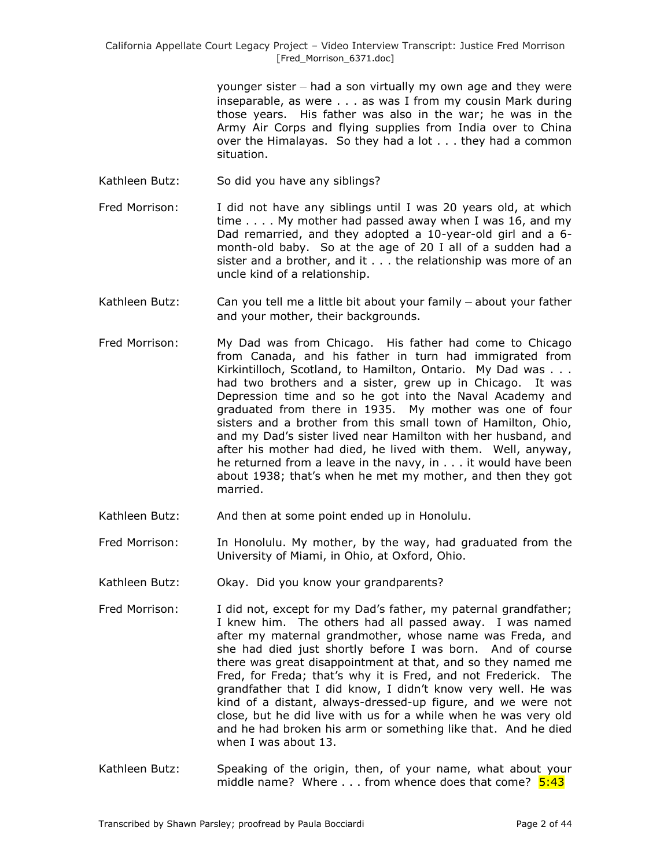younger sister – had a son virtually my own age and they were inseparable, as were . . . as was I from my cousin Mark during those years. His father was also in the war; he was in the Army Air Corps and flying supplies from India over to China over the Himalayas. So they had a lot . . . they had a common situation.

- Kathleen Butz: So did you have any siblings?
- Fred Morrison: I did not have any siblings until I was 20 years old, at which time . . . . My mother had passed away when I was 16, and my Dad remarried, and they adopted a 10-year-old girl and a 6 month-old baby. So at the age of 20 I all of a sudden had a sister and a brother, and it . . . the relationship was more of an uncle kind of a relationship.
- Kathleen Butz: Can you tell me a little bit about your family about your father and your mother, their backgrounds.
- Fred Morrison: My Dad was from Chicago. His father had come to Chicago from Canada, and his father in turn had immigrated from [Kirkintilloch,](http://en.wikipedia.org/wiki/Kirkintilloch) Scotland, to Hamilton, Ontario. My Dad was . . . had two brothers and a sister, grew up in Chicago. It was Depression time and so he got into the Naval Academy and graduated from there in 1935. My mother was one of four sisters and a brother from this small town of Hamilton, Ohio, and my Dad's sister lived near Hamilton with her husband, and after his mother had died, he lived with them. Well, anyway, he returned from a leave in the navy, in . . . it would have been about 1938; that's when he met my mother, and then they got married.
- Kathleen Butz: And then at some point ended up in Honolulu.
- Fred Morrison: In Honolulu. My mother, by the way, had graduated from the University of Miami, in Ohio, at Oxford, Ohio.
- Kathleen Butz: Okay. Did you know your grandparents?
- Fred Morrison: I did not, except for my Dad's father, my paternal grandfather; I knew him. The others had all passed away. I was named after my maternal grandmother, whose name was Freda, and she had died just shortly before I was born. And of course there was great disappointment at that, and so they named me Fred, for Freda; that's why it is Fred, and not Frederick. The grandfather that I did know, I didn't know very well. He was kind of a distant, always-dressed-up figure, and we were not close, but he did live with us for a while when he was very old and he had broken his arm or something like that. And he died when I was about 13.
- Kathleen Butz: Speaking of the origin, then, of your name, what about your middle name? Where  $\dots$  from whence does that come?  $5:43$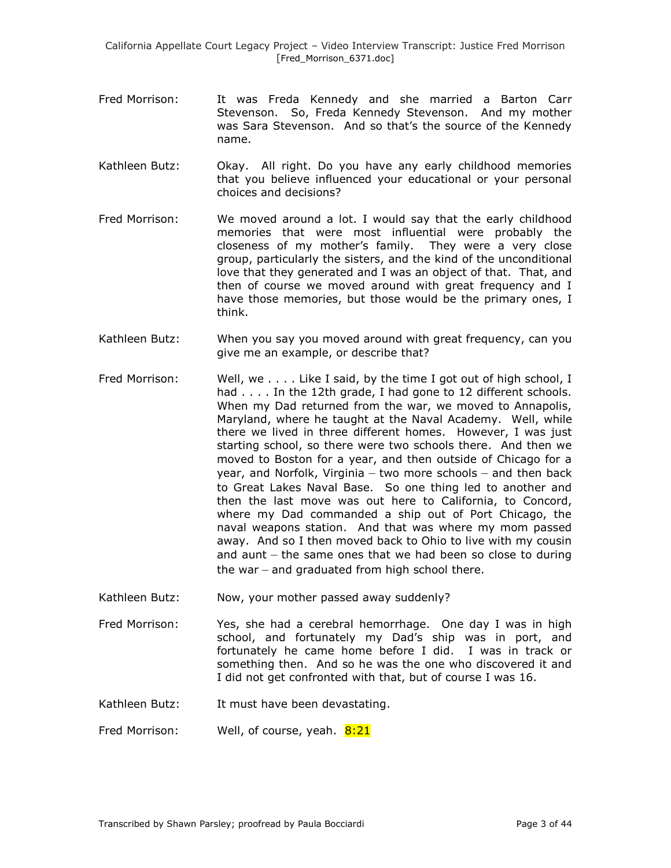- Fred Morrison: It was Freda Kennedy and she married a Barton Carr Stevenson. So, Freda Kennedy Stevenson. And my mother was Sara Stevenson. And so that's the source of the Kennedy name.
- Kathleen Butz: Okay. All right. Do you have any early childhood memories that you believe influenced your educational or your personal choices and decisions?
- Fred Morrison: We moved around a lot. I would say that the early childhood memories that were most influential were probably the closeness of my mother's family. They were a very close group, particularly the sisters, and the kind of the unconditional love that they generated and I was an object of that. That, and then of course we moved around with great frequency and I have those memories, but those would be the primary ones, I think.
- Kathleen Butz: When you say you moved around with great frequency, can you give me an example, or describe that?
- Fred Morrison: Well, we . . . . Like I said, by the time I got out of high school, I had . . . . In the 12th grade, I had gone to 12 different schools. When my Dad returned from the war, we moved to Annapolis, Maryland, where he taught at the Naval Academy. Well, while there we lived in three different homes. However, I was just starting school, so there were two schools there. And then we moved to Boston for a year, and then outside of Chicago for a year, and Norfolk, Virginia – two more schools – and then back to Great Lakes Naval Base. So one thing led to another and then the last move was out here to California, to Concord, where my Dad commanded a ship out of Port Chicago, the naval weapons station. And that was where my mom passed away. And so I then moved back to Ohio to live with my cousin and aunt – the same ones that we had been so close to during the war – and graduated from high school there.
- Kathleen Butz: Now, your mother passed away suddenly?
- Fred Morrison: Yes, she had a cerebral hemorrhage. One day I was in high school, and fortunately my Dad's ship was in port, and fortunately he came home before I did. I was in track or something then. And so he was the one who discovered it and I did not get confronted with that, but of course I was 16.
- Kathleen Butz: It must have been devastating.
- Fred Morrison: Well, of course, yeah. 8:21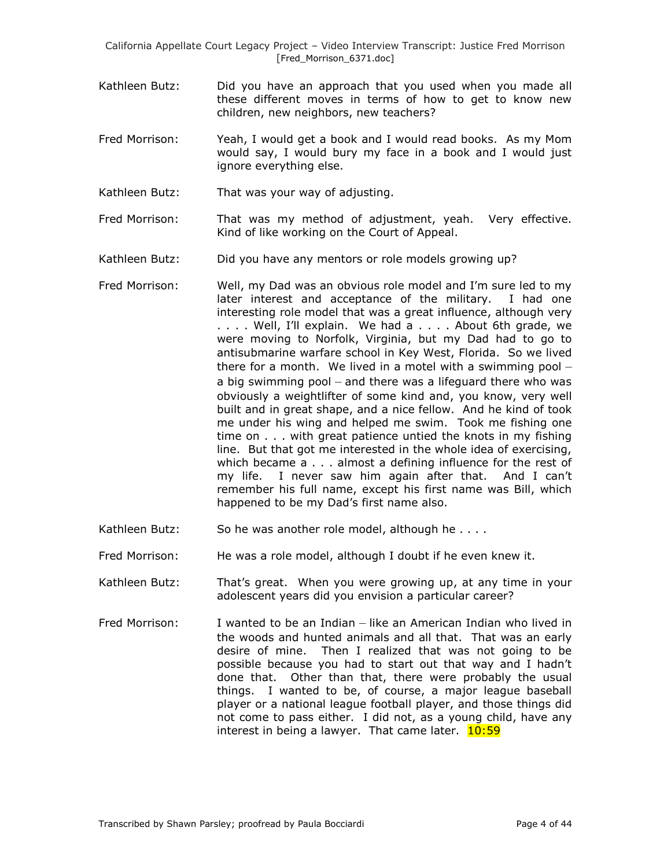- Kathleen Butz: Did you have an approach that you used when you made all these different moves in terms of how to get to know new children, new neighbors, new teachers?
- Fred Morrison: Yeah, I would get a book and I would read books. As my Mom would say, I would bury my face in a book and I would just ignore everything else.
- Kathleen Butz: That was your way of adjusting.
- Fred Morrison: That was my method of adjustment, yeah. Very effective. Kind of like working on the Court of Appeal.
- Kathleen Butz: Did you have any mentors or role models growing up?
- Fred Morrison: Well, my Dad was an obvious role model and I'm sure led to my later interest and acceptance of the military. I had one interesting role model that was a great influence, although very . . . . Well, I'll explain. We had a . . . . About 6th grade, we were moving to Norfolk, Virginia, but my Dad had to go to antisubmarine warfare school in Key West, Florida. So we lived there for a month. We lived in a motel with a swimming pool  $$ a big swimming pool – and there was a lifeguard there who was obviously a weightlifter of some kind and, you know, very well built and in great shape, and a nice fellow. And he kind of took me under his wing and helped me swim. Took me fishing one time on . . . with great patience untied the knots in my fishing line. But that got me interested in the whole idea of exercising, which became a . . . almost a defining influence for the rest of my life. I never saw him again after that. And I can't remember his full name, except his first name was Bill, which happened to be my Dad's first name also.
- Kathleen Butz: So he was another role model, although he . . . .
- Fred Morrison: He was a role model, although I doubt if he even knew it.
- Kathleen Butz: That's great. When you were growing up, at any time in your adolescent years did you envision a particular career?
- Fred Morrison: I wanted to be an Indian like an American Indian who lived in the woods and hunted animals and all that. That was an early desire of mine. Then I realized that was not going to be possible because you had to start out that way and I hadn't done that. Other than that, there were probably the usual things. I wanted to be, of course, a major league baseball player or a national league football player, and those things did not come to pass either. I did not, as a young child, have any interest in being a lawyer. That came later.  $10:59$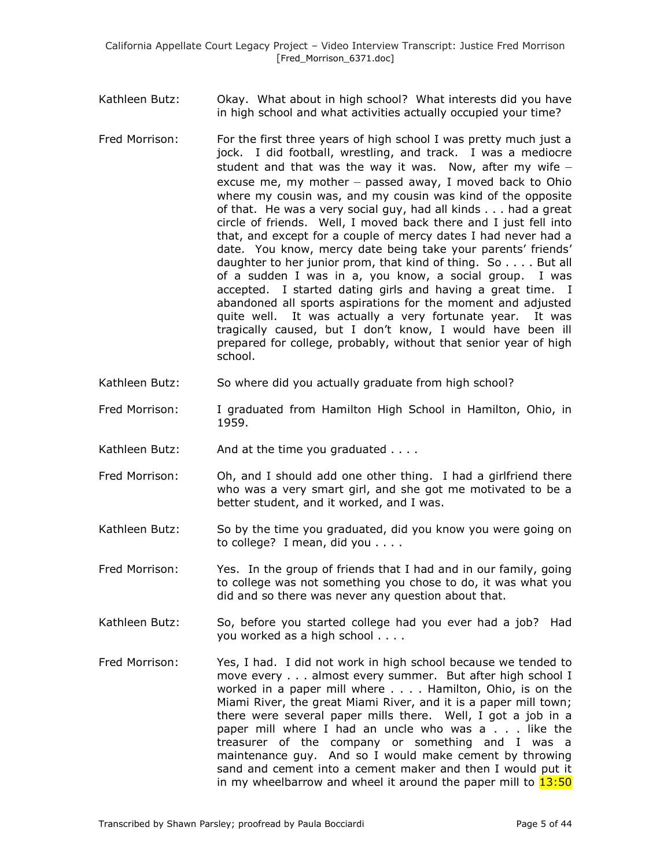Kathleen Butz: Okay. What about in high school? What interests did you have in high school and what activities actually occupied your time?

- Fred Morrison: For the first three years of high school I was pretty much just a jock. I did football, wrestling, and track. I was a mediocre student and that was the way it was. Now, after my wife  $$ excuse me, my mother – passed away, I moved back to Ohio where my cousin was, and my cousin was kind of the opposite of that. He was a very social guy, had all kinds . . . had a great circle of friends. Well, I moved back there and I just fell into that, and except for a couple of mercy dates I had never had a date. You know, mercy date being take your parents' friends' daughter to her junior prom, that kind of thing. So . . . . But all of a sudden I was in a, you know, a social group. I was accepted. I started dating girls and having a great time. I abandoned all sports aspirations for the moment and adjusted quite well. It was actually a very fortunate year. It was tragically caused, but I don't know, I would have been ill prepared for college, probably, without that senior year of high school.
- Kathleen Butz: So where did you actually graduate from high school?
- Fred Morrison: I graduated from Hamilton High School in Hamilton, Ohio, in 1959.
- Kathleen Butz: And at the time you graduated . . . .
- Fred Morrison: Oh, and I should add one other thing. I had a girlfriend there who was a very smart girl, and she got me motivated to be a better student, and it worked, and I was.
- Kathleen Butz: So by the time you graduated, did you know you were going on to college? I mean, did you . . . .
- Fred Morrison: Yes. In the group of friends that I had and in our family, going to college was not something you chose to do, it was what you did and so there was never any question about that.
- Kathleen Butz: So, before you started college had you ever had a job? Had you worked as a high school . . . .
- Fred Morrison: Yes, I had. I did not work in high school because we tended to move every . . . almost every summer. But after high school I worked in a paper mill where . . . . Hamilton, Ohio, is on the Miami River, the great Miami River, and it is a paper mill town; there were several paper mills there. Well, I got a job in a paper mill where I had an uncle who was a . . . like the treasurer of the company or something and I was a maintenance guy. And so I would make cement by throwing sand and cement into a cement maker and then I would put it in my wheelbarrow and wheel it around the paper mill to  $13:50$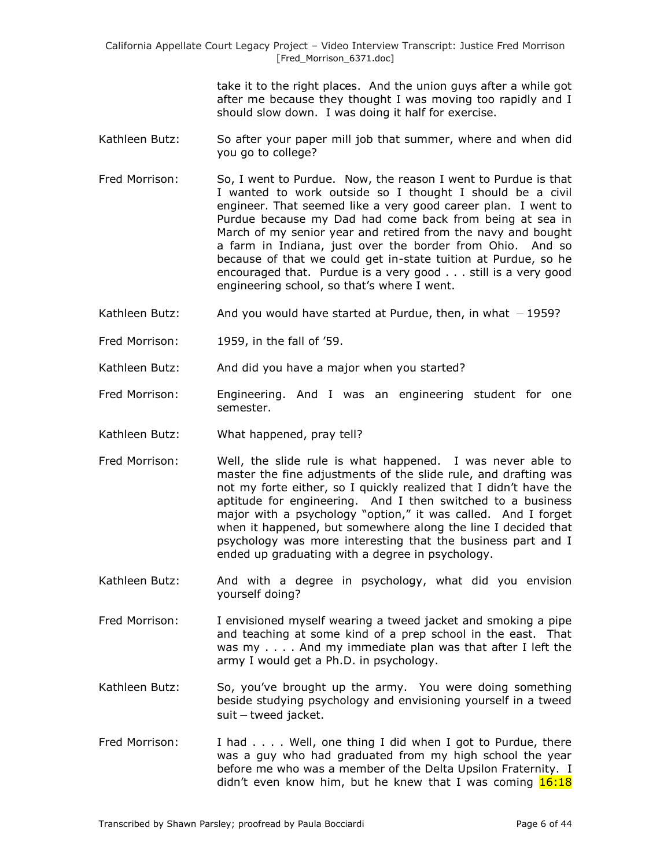> take it to the right places. And the union guys after a while got after me because they thought I was moving too rapidly and I should slow down. I was doing it half for exercise.

- Kathleen Butz: So after your paper mill job that summer, where and when did you go to college?
- Fred Morrison: So, I went to Purdue. Now, the reason I went to Purdue is that I wanted to work outside so I thought I should be a civil engineer. That seemed like a very good career plan. I went to Purdue because my Dad had come back from being at sea in March of my senior year and retired from the navy and bought a farm in Indiana, just over the border from Ohio. And so because of that we could get in-state tuition at Purdue, so he encouraged that. Purdue is a very good . . . still is a very good engineering school, so that's where I went.
- Kathleen Butz: And you would have started at Purdue, then, in what  $-1959$ ?
- Fred Morrison: 1959, in the fall of '59.
- Kathleen Butz: And did you have a major when you started?
- Fred Morrison: Engineering. And I was an engineering student for one semester.
- Kathleen Butz: What happened, pray tell?
- Fred Morrison: Well, the slide rule is what happened. I was never able to master the fine adjustments of the slide rule, and drafting was not my forte either, so I quickly realized that I didn't have the aptitude for engineering. And I then switched to a business major with a psychology "option," it was called. And I forget when it happened, but somewhere along the line I decided that psychology was more interesting that the business part and I ended up graduating with a degree in psychology.
- Kathleen Butz: And with a degree in psychology, what did you envision yourself doing?
- Fred Morrison: I envisioned myself wearing a tweed jacket and smoking a pipe and teaching at some kind of a prep school in the east. That was my . . . . And my immediate plan was that after I left the army I would get a Ph.D. in psychology.
- Kathleen Butz: So, you've brought up the army. You were doing something beside studying psychology and envisioning yourself in a tweed suit – tweed jacket.
- Fred Morrison: I had . . . . Well, one thing I did when I got to Purdue, there was a guy who had graduated from my high school the year before me who was a member of the Delta Upsilon Fraternity. I didn't even know him, but he knew that I was coming  $16:18$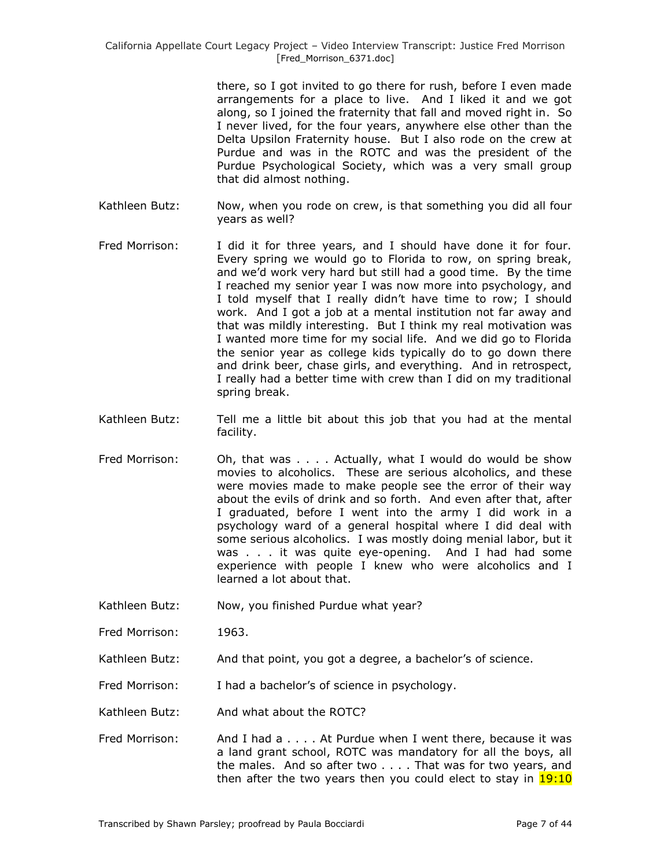there, so I got invited to go there for rush, before I even made arrangements for a place to live. And I liked it and we got along, so I joined the fraternity that fall and moved right in. So I never lived, for the four years, anywhere else other than the Delta Upsilon Fraternity house. But I also rode on the crew at Purdue and was in the ROTC and was the president of the Purdue Psychological Society, which was a very small group that did almost nothing.

- Kathleen Butz: Now, when you rode on crew, is that something you did all four years as well?
- Fred Morrison: I did it for three years, and I should have done it for four. Every spring we would go to Florida to row, on spring break, and we'd work very hard but still had a good time. By the time I reached my senior year I was now more into psychology, and I told myself that I really didn't have time to row; I should work. And I got a job at a mental institution not far away and that was mildly interesting. But I think my real motivation was I wanted more time for my social life. And we did go to Florida the senior year as college kids typically do to go down there and drink beer, chase girls, and everything. And in retrospect, I really had a better time with crew than I did on my traditional spring break.
- Kathleen Butz: Tell me a little bit about this job that you had at the mental facility.
- Fred Morrison: Oh, that was . . . . Actually, what I would do would be show movies to alcoholics. These are serious alcoholics, and these were movies made to make people see the error of their way about the evils of drink and so forth. And even after that, after I graduated, before I went into the army I did work in a psychology ward of a general hospital where I did deal with some serious alcoholics. I was mostly doing menial labor, but it was . . . it was quite eye-opening. And I had had some experience with people I knew who were alcoholics and I learned a lot about that.
- Kathleen Butz: Now, you finished Purdue what year?
- Fred Morrison: 1963.
- Kathleen Butz: And that point, you got a degree, a bachelor's of science.
- Fred Morrison: I had a bachelor's of science in psychology.
- Kathleen Butz: And what about the ROTC?
- Fred Morrison: And I had a . . . . At Purdue when I went there, because it was a land grant school, ROTC was mandatory for all the boys, all the males. And so after two . . . . That was for two years, and then after the two years then you could elect to stay in  $19:10$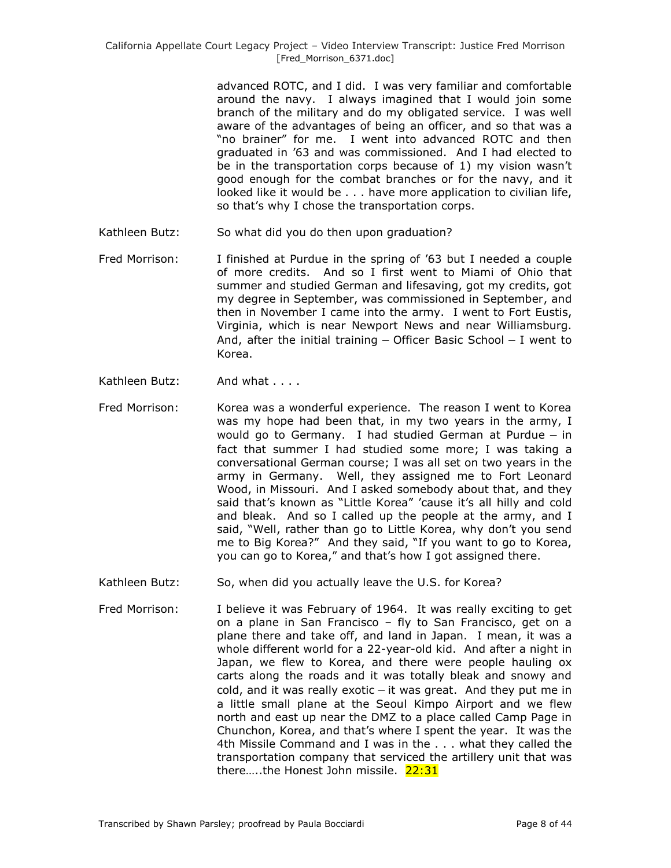advanced ROTC, and I did. I was very familiar and comfortable around the navy. I always imagined that I would join some branch of the military and do my obligated service. I was well aware of the advantages of being an officer, and so that was a "no brainer" for me. I went into advanced ROTC and then graduated in '63 and was commissioned. And I had elected to be in the transportation corps because of 1) my vision wasn't good enough for the combat branches or for the navy, and it looked like it would be . . . have more application to civilian life, so that's why I chose the transportation corps.

- Kathleen Butz: So what did you do then upon graduation?
- Fred Morrison: I finished at Purdue in the spring of '63 but I needed a couple of more credits. And so I first went to Miami of Ohio that summer and studied German and lifesaving, got my credits, got my degree in September, was commissioned in September, and then in November I came into the army. I went to Fort Eustis, Virginia, which is near Newport News and near Williamsburg. And, after the initial training – Officer Basic School – I went to Korea.
- Kathleen Butz: And what . . . .
- Fred Morrison: Korea was a wonderful experience. The reason I went to Korea was my hope had been that, in my two years in the army, I would go to Germany. I had studied German at Purdue – in fact that summer I had studied some more; I was taking a conversational German course; I was all set on two years in the army in Germany. Well, they assigned me to Fort Leonard Wood, in Missouri. And I asked somebody about that, and they said that's known as "Little Korea" 'cause it's all hilly and cold and bleak. And so I called up the people at the army, and I said, "Well, rather than go to Little Korea, why don't you send me to Big Korea?" And they said, "If you want to go to Korea, you can go to Korea," and that's how I got assigned there.
- Kathleen Butz: So, when did you actually leave the U.S. for Korea?
- Fred Morrison: I believe it was February of 1964. It was really exciting to get on a plane in San Francisco – fly to San Francisco, get on a plane there and take off, and land in Japan. I mean, it was a whole different world for a 22-year-old kid. And after a night in Japan, we flew to Korea, and there were people hauling ox carts along the roads and it was totally bleak and snowy and cold, and it was really exotic  $-$  it was great. And they put me in a little small plane at the Seoul Kimpo Airport and we flew north and east up near the DMZ to a place called Camp Page in Chunchon, Korea, and that's where I spent the year. It was the 4th Missile Command and I was in the . . . what they called the transportation company that serviced the artillery unit that was there.....the Honest John missile. 22:31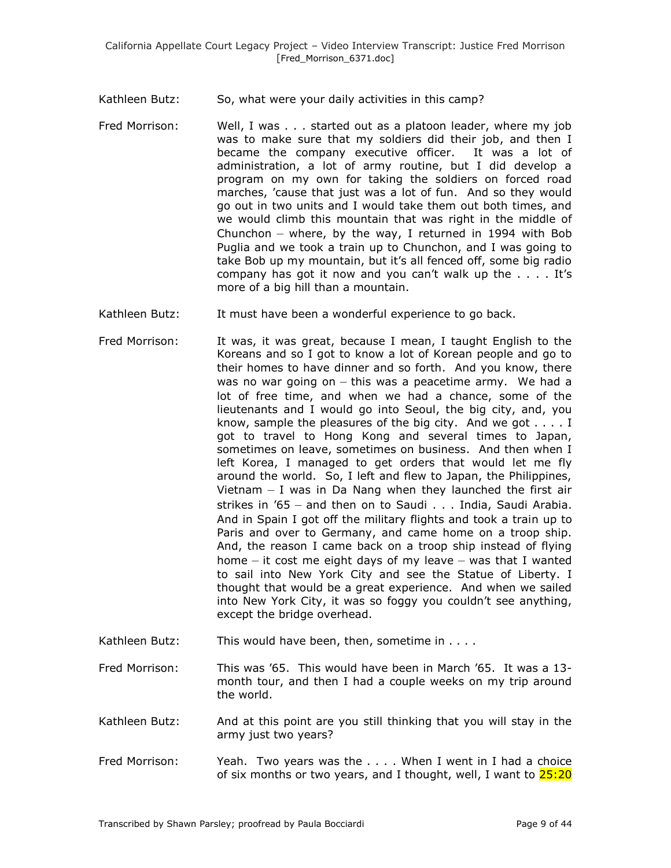- Kathleen Butz: So, what were your daily activities in this camp?
- Fred Morrison: Well, I was . . . started out as a platoon leader, where my job was to make sure that my soldiers did their job, and then I became the company executive officer. It was a lot of administration, a lot of army routine, but I did develop a program on my own for taking the soldiers on forced road marches, 'cause that just was a lot of fun. And so they would go out in two units and I would take them out both times, and we would climb this mountain that was right in the middle of Chunchon – where, by the way, I returned in 1994 with Bob Puglia and we took a train up to Chunchon, and I was going to take Bob up my mountain, but it's all fenced off, some big radio company has got it now and you can't walk up the . . . . It's more of a big hill than a mountain.
- Kathleen Butz: It must have been a wonderful experience to go back.
- Fred Morrison: It was, it was great, because I mean, I taught English to the Koreans and so I got to know a lot of Korean people and go to their homes to have dinner and so forth. And you know, there was no war going on – this was a peacetime army. We had a lot of free time, and when we had a chance, some of the lieutenants and I would go into Seoul, the big city, and, you know, sample the pleasures of the big city. And we got . . . . I got to travel to Hong Kong and several times to Japan, sometimes on leave, sometimes on business. And then when I left Korea, I managed to get orders that would let me fly around the world. So, I left and flew to Japan, the Philippines, Vietnam  $-$  I was in Da Nang when they launched the first air strikes in '65 – and then on to Saudi . . . India, Saudi Arabia. And in Spain I got off the military flights and took a train up to Paris and over to Germany, and came home on a troop ship. And, the reason I came back on a troop ship instead of flying home  $-$  it cost me eight days of my leave  $-$  was that I wanted to sail into New York City and see the Statue of Liberty. I thought that would be a great experience. And when we sailed into New York City, it was so foggy you couldn't see anything, except the bridge overhead.
- Kathleen Butz: This would have been, then, sometime in . . . .
- Fred Morrison: This was '65. This would have been in March '65. It was a 13 month tour, and then I had a couple weeks on my trip around the world.
- Kathleen Butz: And at this point are you still thinking that you will stay in the army just two years?
- Fred Morrison: Yeah. Two years was the .... When I went in I had a choice of six months or two years, and I thought, well, I want to  $25:20$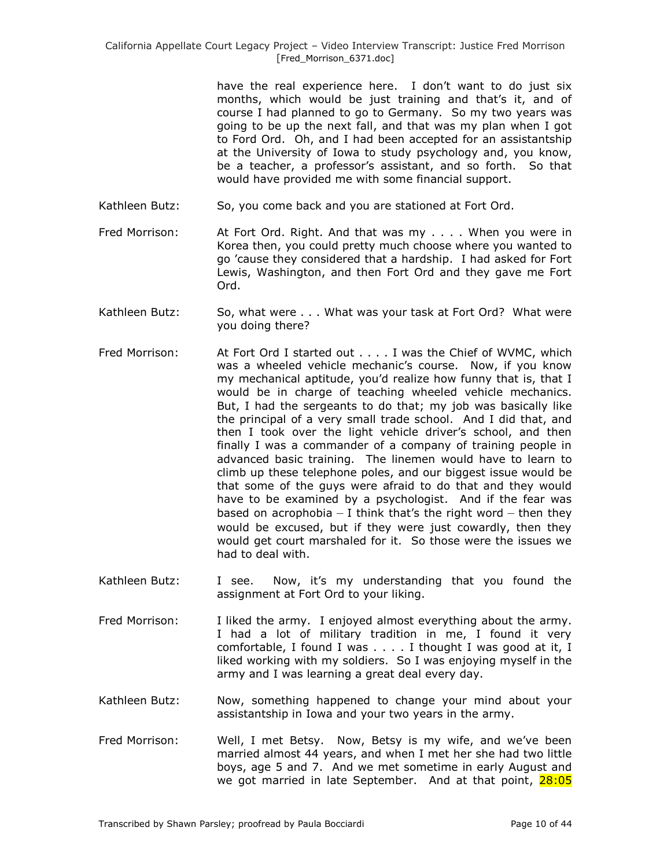have the real experience here. I don't want to do just six months, which would be just training and that's it, and of course I had planned to go to Germany. So my two years was going to be up the next fall, and that was my plan when I got to Ford Ord. Oh, and I had been accepted for an assistantship at the University of Iowa to study psychology and, you know, be a teacher, a professor's assistant, and so forth. So that would have provided me with some financial support.

- Kathleen Butz: So, you come back and you are stationed at Fort Ord.
- Fred Morrison: At Fort Ord. Right. And that was my . . . . When you were in Korea then, you could pretty much choose where you wanted to go 'cause they considered that a hardship. I had asked for Fort Lewis, Washington, and then Fort Ord and they gave me Fort Ord.
- Kathleen Butz: So, what were . . . What was your task at Fort Ord? What were you doing there?
- Fred Morrison: At Fort Ord I started out . . . . I was the Chief of WVMC, which was a wheeled vehicle mechanic's course. Now, if you know my mechanical aptitude, you'd realize how funny that is, that I would be in charge of teaching wheeled vehicle mechanics. But, I had the sergeants to do that; my job was basically like the principal of a very small trade school. And I did that, and then I took over the light vehicle driver's school, and then finally I was a commander of a company of training people in advanced basic training. The linemen would have to learn to climb up these telephone poles, and our biggest issue would be that some of the guys were afraid to do that and they would have to be examined by a psychologist. And if the fear was based on acrophobia  $-1$  think that's the right word  $-$  then they would be excused, but if they were just cowardly, then they would get court marshaled for it. So those were the issues we had to deal with.
- Kathleen Butz: I see. Now, it's my understanding that you found the assignment at Fort Ord to your liking.
- Fred Morrison: I liked the army. I enjoyed almost everything about the army. I had a lot of military tradition in me, I found it very comfortable, I found I was . . . . I thought I was good at it, I liked working with my soldiers. So I was enjoying myself in the army and I was learning a great deal every day.
- Kathleen Butz: Now, something happened to change your mind about your assistantship in Iowa and your two years in the army.
- Fred Morrison: Well, I met Betsy. Now, Betsy is my wife, and we've been married almost 44 years, and when I met her she had two little boys, age 5 and 7. And we met sometime in early August and we got married in late September. And at that point, 28:05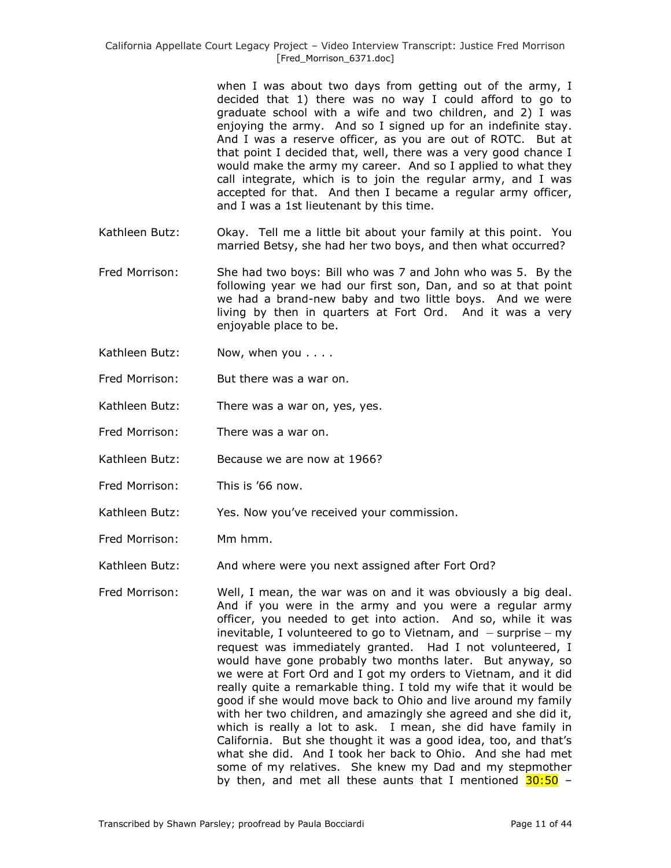when I was about two days from getting out of the army, I decided that 1) there was no way I could afford to go to graduate school with a wife and two children, and 2) I was enjoying the army. And so I signed up for an indefinite stay. And I was a reserve officer, as you are out of ROTC. But at that point I decided that, well, there was a very good chance I would make the army my career. And so I applied to what they call integrate, which is to join the regular army, and I was accepted for that. And then I became a regular army officer, and I was a 1st lieutenant by this time.

- Kathleen Butz: Okay. Tell me a little bit about your family at this point. You married Betsy, she had her two boys, and then what occurred?
- Fred Morrison: She had two boys: Bill who was 7 and John who was 5. By the following year we had our first son, Dan, and so at that point we had a brand-new baby and two little boys. And we were living by then in quarters at Fort Ord. And it was a very enjoyable place to be.
- Kathleen Butz: Now, when you . . . .
- Fred Morrison: But there was a war on.
- Kathleen Butz: There was a war on, yes, yes.
- Fred Morrison: There was a war on.
- Kathleen Butz: Because we are now at 1966?
- Fred Morrison: This is '66 now.
- Kathleen Butz: Yes. Now you've received your commission.
- Fred Morrison: Mm hmm.

Kathleen Butz: And where were you next assigned after Fort Ord?

Fred Morrison: Well, I mean, the war was on and it was obviously a big deal. And if you were in the army and you were a regular army officer, you needed to get into action. And so, while it was inevitable, I volunteered to go to Vietnam, and  $-$  surprise  $-$  my request was immediately granted. Had I not volunteered, I would have gone probably two months later. But anyway, so we were at Fort Ord and I got my orders to Vietnam, and it did really quite a remarkable thing. I told my wife that it would be good if she would move back to Ohio and live around my family with her two children, and amazingly she agreed and she did it, which is really a lot to ask. I mean, she did have family in California. But she thought it was a good idea, too, and that's what she did. And I took her back to Ohio. And she had met some of my relatives. She knew my Dad and my stepmother by then, and met all these aunts that I mentioned  $30:50 -$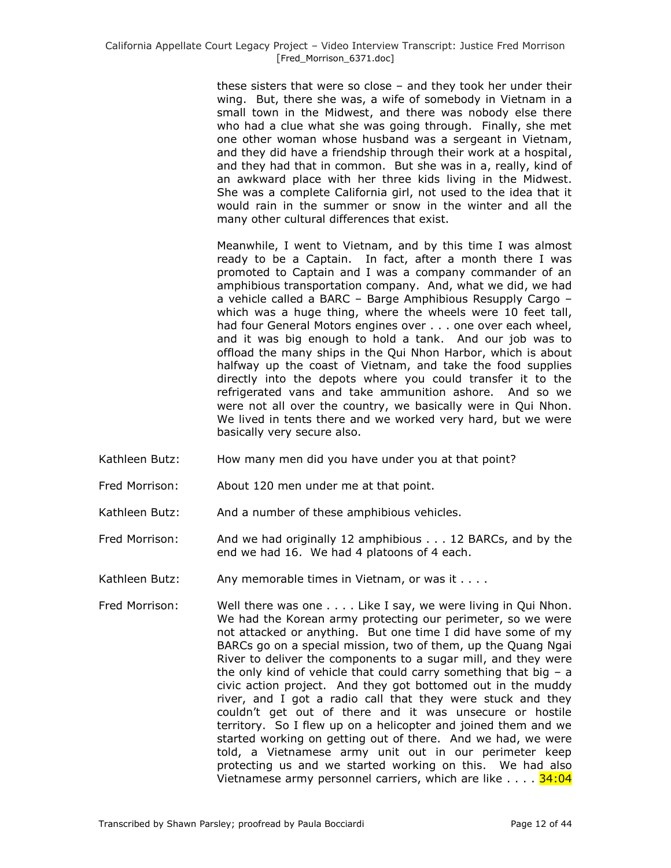these sisters that were so close – and they took her under their wing. But, there she was, a wife of somebody in Vietnam in a small town in the Midwest, and there was nobody else there who had a clue what she was going through. Finally, she met one other woman whose husband was a sergeant in Vietnam, and they did have a friendship through their work at a hospital, and they had that in common. But she was in a, really, kind of an awkward place with her three kids living in the Midwest. She was a complete California girl, not used to the idea that it would rain in the summer or snow in the winter and all the many other cultural differences that exist.

Meanwhile, I went to Vietnam, and by this time I was almost ready to be a Captain. In fact, after a month there I was promoted to Captain and I was a company commander of an amphibious transportation company. And, what we did, we had a vehicle called a BARC – Barge Amphibious Resupply Cargo – which was a huge thing, where the wheels were 10 feet tall, had four General Motors engines over . . . one over each wheel, and it was big enough to hold a tank. And our job was to offload the many ships in the Qui Nhon Harbor, which is about halfway up the coast of Vietnam, and take the food supplies directly into the depots where you could transfer it to the refrigerated vans and take ammunition ashore. And so we were not all over the country, we basically were in Qui Nhon. We lived in tents there and we worked very hard, but we were basically very secure also.

- Kathleen Butz: How many men did you have under you at that point?
- Fred Morrison: About 120 men under me at that point.
- Kathleen Butz: And a number of these amphibious vehicles.
- Fred Morrison: And we had originally 12 amphibious . . . 12 BARCs, and by the end we had 16. We had 4 platoons of 4 each.
- Kathleen Butz: Any memorable times in Vietnam, or was it . . . .
- Fred Morrison: Well there was one . . . . Like I say, we were living in Qui Nhon. We had the Korean army protecting our perimeter, so we were not attacked or anything. But one time I did have some of my BARCs go on a special mission, two of them, up the Quang Ngai River to deliver the components to a sugar mill, and they were the only kind of vehicle that could carry something that big  $- a$ civic action project. And they got bottomed out in the muddy river, and I got a radio call that they were stuck and they couldn't get out of there and it was unsecure or hostile territory. So I flew up on a helicopter and joined them and we started working on getting out of there. And we had, we were told, a Vietnamese army unit out in our perimeter keep protecting us and we started working on this. We had also Vietnamese army personnel carriers, which are like  $\ldots$ .  $34:04$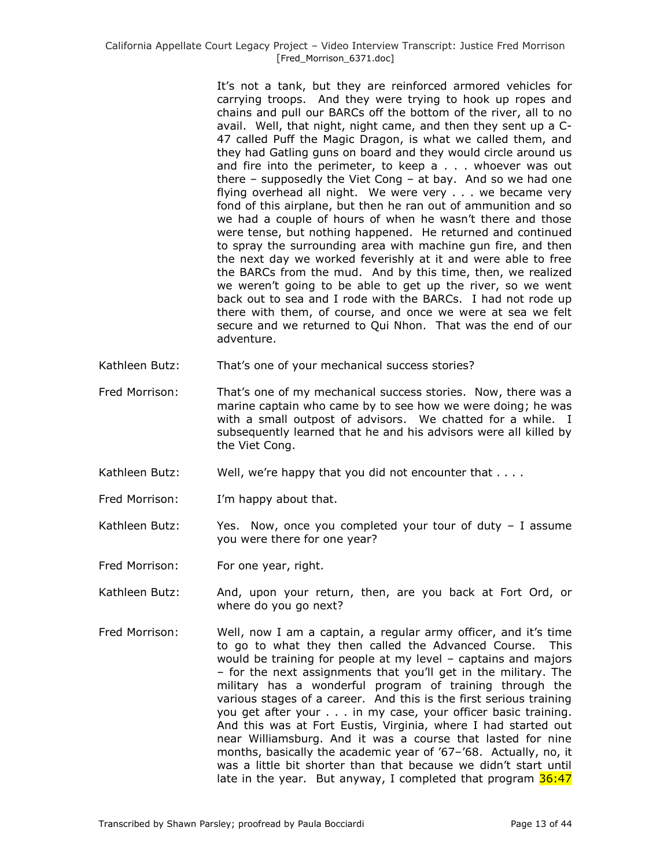It's not a tank, but they are reinforced armored vehicles for carrying troops. And they were trying to hook up ropes and chains and pull our BARCs off the bottom of the river, all to no avail. Well, that night, night came, and then they sent up a C-47 called Puff the Magic Dragon, is what we called them, and they had Gatling guns on board and they would circle around us and fire into the perimeter, to keep a . . . whoever was out there – supposedly the Viet Cong – at bay. And so we had one flying overhead all night. We were very . . . we became very fond of this airplane, but then he ran out of ammunition and so we had a couple of hours of when he wasn't there and those were tense, but nothing happened. He returned and continued to spray the surrounding area with machine gun fire, and then the next day we worked feverishly at it and were able to free the BARCs from the mud. And by this time, then, we realized we weren't going to be able to get up the river, so we went back out to sea and I rode with the BARCs. I had not rode up there with them, of course, and once we were at sea we felt secure and we returned to Qui Nhon. That was the end of our adventure.

- Kathleen Butz: That's one of your mechanical success stories?
- Fred Morrison: That's one of my mechanical success stories. Now, there was a marine captain who came by to see how we were doing; he was with a small outpost of advisors. We chatted for a while. I subsequently learned that he and his advisors were all killed by the Viet Cong.
- Kathleen Butz: Well, we're happy that you did not encounter that . . . .
- Fred Morrison: I'm happy about that.
- Kathleen Butz: Yes. Now, once you completed your tour of duty I assume you were there for one year?
- Fred Morrison: For one year, right.
- Kathleen Butz: And, upon your return, then, are you back at Fort Ord, or where do you go next?
- Fred Morrison: Well, now I am a captain, a regular army officer, and it's time to go to what they then called the Advanced Course. This would be training for people at my level – captains and majors – for the next assignments that you'll get in the military. The military has a wonderful program of training through the various stages of a career. And this is the first serious training you get after your . . . in my case, your officer basic training. And this was at Fort Eustis, Virginia, where I had started out near Williamsburg. And it was a course that lasted for nine months, basically the academic year of '67–'68. Actually, no, it was a little bit shorter than that because we didn't start until late in the year. But anyway, I completed that program  $36:47$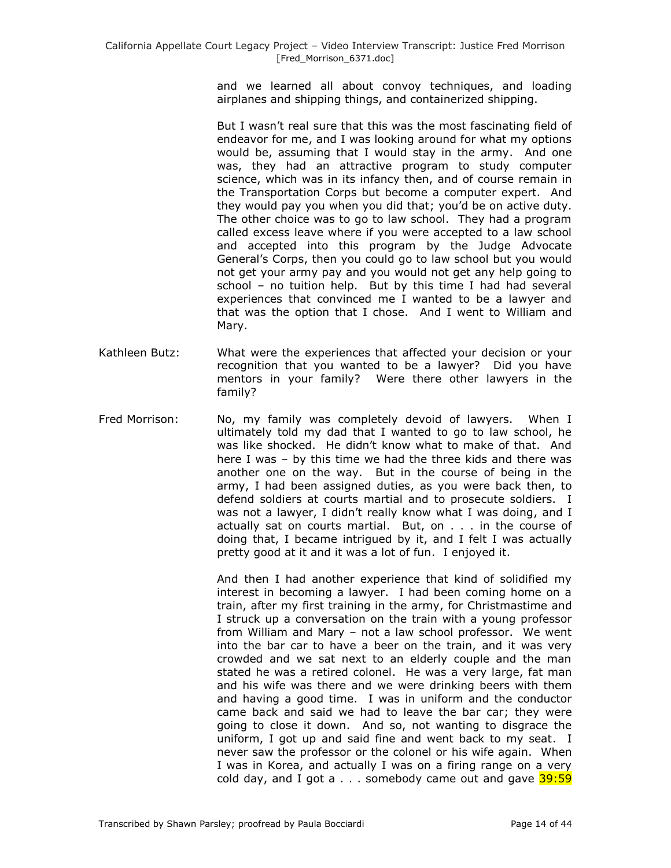and we learned all about convoy techniques, and loading airplanes and shipping things, and containerized shipping.

But I wasn't real sure that this was the most fascinating field of endeavor for me, and I was looking around for what my options would be, assuming that I would stay in the army. And one was, they had an attractive program to study computer science, which was in its infancy then, and of course remain in the Transportation Corps but become a computer expert. And they would pay you when you did that; you'd be on active duty. The other choice was to go to law school. They had a program called excess leave where if you were accepted to a law school and accepted into this program by the Judge Advocate General's Corps, then you could go to law school but you would not get your army pay and you would not get any help going to school – no tuition help. But by this time I had had several experiences that convinced me I wanted to be a lawyer and that was the option that I chose. And I went to William and Mary.

- Kathleen Butz: What were the experiences that affected your decision or your recognition that you wanted to be a lawyer? Did you have mentors in your family? Were there other lawyers in the family?
- Fred Morrison: No, my family was completely devoid of lawyers. When I ultimately told my dad that I wanted to go to law school, he was like shocked. He didn't know what to make of that. And here I was – by this time we had the three kids and there was another one on the way. But in the course of being in the army, I had been assigned duties, as you were back then, to defend soldiers at courts martial and to prosecute soldiers. I was not a lawyer, I didn't really know what I was doing, and I actually sat on courts martial. But, on . . . in the course of doing that, I became intrigued by it, and I felt I was actually pretty good at it and it was a lot of fun. I enjoyed it.

And then I had another experience that kind of solidified my interest in becoming a lawyer. I had been coming home on a train, after my first training in the army, for Christmastime and I struck up a conversation on the train with a young professor from William and Mary – not a law school professor. We went into the bar car to have a beer on the train, and it was very crowded and we sat next to an elderly couple and the man stated he was a retired colonel. He was a very large, fat man and his wife was there and we were drinking beers with them and having a good time. I was in uniform and the conductor came back and said we had to leave the bar car; they were going to close it down. And so, not wanting to disgrace the uniform, I got up and said fine and went back to my seat. I never saw the professor or the colonel or his wife again. When I was in Korea, and actually I was on a firing range on a very cold day, and I got  $a \ldots$  somebody came out and gave  $\frac{39:59}{2}$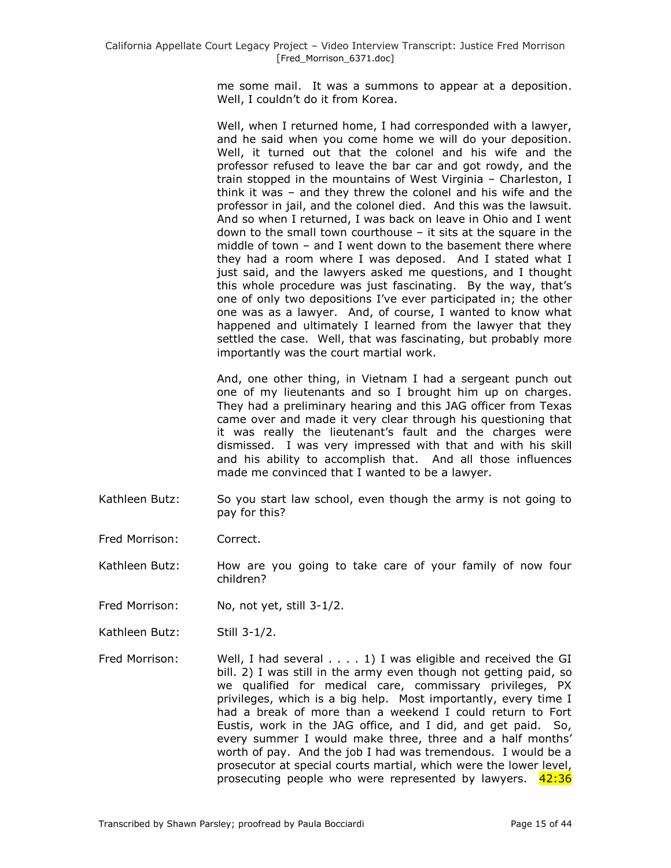me some mail. It was a summons to appear at a deposition. Well, I couldn't do it from Korea.

Well, when I returned home, I had corresponded with a lawyer, and he said when you come home we will do your deposition. Well, it turned out that the colonel and his wife and the professor refused to leave the bar car and got rowdy, and the train stopped in the mountains of West Virginia – Charleston, I think it was – and they threw the colonel and his wife and the professor in jail, and the colonel died. And this was the lawsuit. And so when I returned, I was back on leave in Ohio and I went down to the small town courthouse – it sits at the square in the middle of town – and I went down to the basement there where they had a room where I was deposed. And I stated what I just said, and the lawyers asked me questions, and I thought this whole procedure was just fascinating. By the way, that's one of only two depositions I've ever participated in; the other one was as a lawyer. And, of course, I wanted to know what happened and ultimately I learned from the lawyer that they settled the case. Well, that was fascinating, but probably more importantly was the court martial work.

And, one other thing, in Vietnam I had a sergeant punch out one of my lieutenants and so I brought him up on charges. They had a preliminary hearing and this JAG officer from Texas came over and made it very clear through his questioning that it was really the lieutenant's fault and the charges were dismissed. I was very impressed with that and with his skill and his ability to accomplish that. And all those influences made me convinced that I wanted to be a lawyer.

- Kathleen Butz: So you start law school, even though the army is not going to pay for this?
- Fred Morrison: Correct.

Kathleen Butz: How are you going to take care of your family of now four children?

- Fred Morrison: No, not yet, still 3-1/2.
- Kathleen Butz: Still 3-1/2.
- Fred Morrison: Well, I had several . . . . 1) I was eligible and received the GI bill. 2) I was still in the army even though not getting paid, so we qualified for medical care, commissary privileges, PX privileges, which is a big help. Most importantly, every time I had a break of more than a weekend I could return to Fort Eustis, work in the JAG office, and I did, and get paid. So, every summer I would make three, three and a half months' worth of pay. And the job I had was tremendous. I would be a prosecutor at special courts martial, which were the lower level, prosecuting people who were represented by lawyers.  $42:36$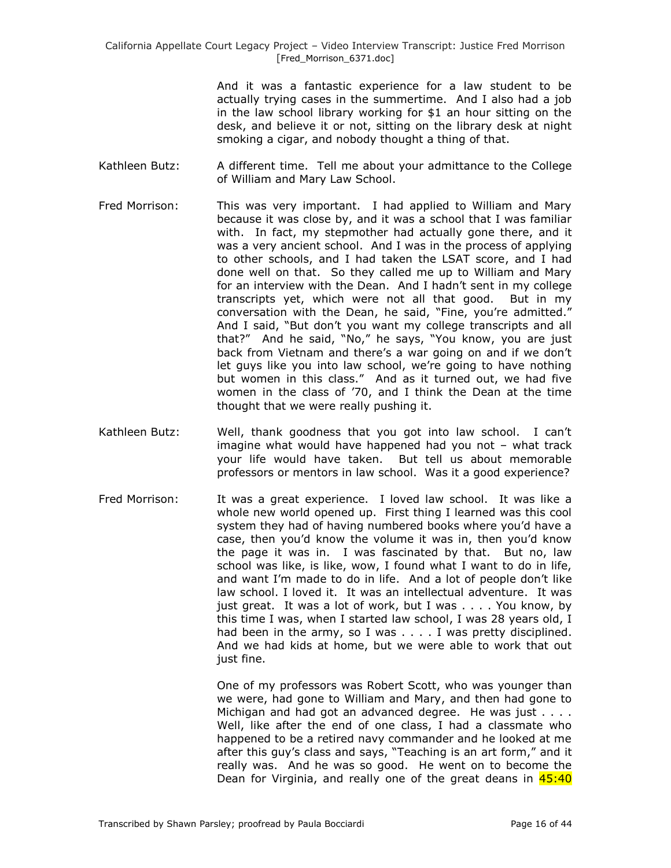And it was a fantastic experience for a law student to be actually trying cases in the summertime. And I also had a job in the law school library working for \$1 an hour sitting on the desk, and believe it or not, sitting on the library desk at night smoking a cigar, and nobody thought a thing of that.

- Kathleen Butz: A different time. Tell me about your admittance to the College of William and Mary Law School.
- Fred Morrison: This was very important. I had applied to William and Mary because it was close by, and it was a school that I was familiar with. In fact, my stepmother had actually gone there, and it was a very ancient school. And I was in the process of applying to other schools, and I had taken the LSAT score, and I had done well on that. So they called me up to William and Mary for an interview with the Dean. And I hadn't sent in my college transcripts yet, which were not all that good. But in my conversation with the Dean, he said, "Fine, you're admitted." And I said, "But don't you want my college transcripts and all that?" And he said, "No," he says, "You know, you are just back from Vietnam and there's a war going on and if we don't let guys like you into law school, we're going to have nothing but women in this class." And as it turned out, we had five women in the class of '70, and I think the Dean at the time thought that we were really pushing it.
- Kathleen Butz: Well, thank goodness that you got into law school. I can't imagine what would have happened had you not – what track your life would have taken. But tell us about memorable professors or mentors in law school. Was it a good experience?
- Fred Morrison: It was a great experience. I loved law school. It was like a whole new world opened up. First thing I learned was this cool system they had of having numbered books where you'd have a case, then you'd know the volume it was in, then you'd know the page it was in. I was fascinated by that. But no, law school was like, is like, wow, I found what I want to do in life, and want I'm made to do in life. And a lot of people don't like law school. I loved it. It was an intellectual adventure. It was just great. It was a lot of work, but I was . . . . You know, by this time I was, when I started law school, I was 28 years old, I had been in the army, so I was . . . . I was pretty disciplined. And we had kids at home, but we were able to work that out just fine.

One of my professors was Robert Scott, who was younger than we were, had gone to William and Mary, and then had gone to Michigan and had got an advanced degree. He was just . . . . Well, like after the end of one class, I had a classmate who happened to be a retired navy commander and he looked at me after this guy's class and says, "Teaching is an art form," and it really was. And he was so good. He went on to become the Dean for Virginia, and really one of the great deans in 45:40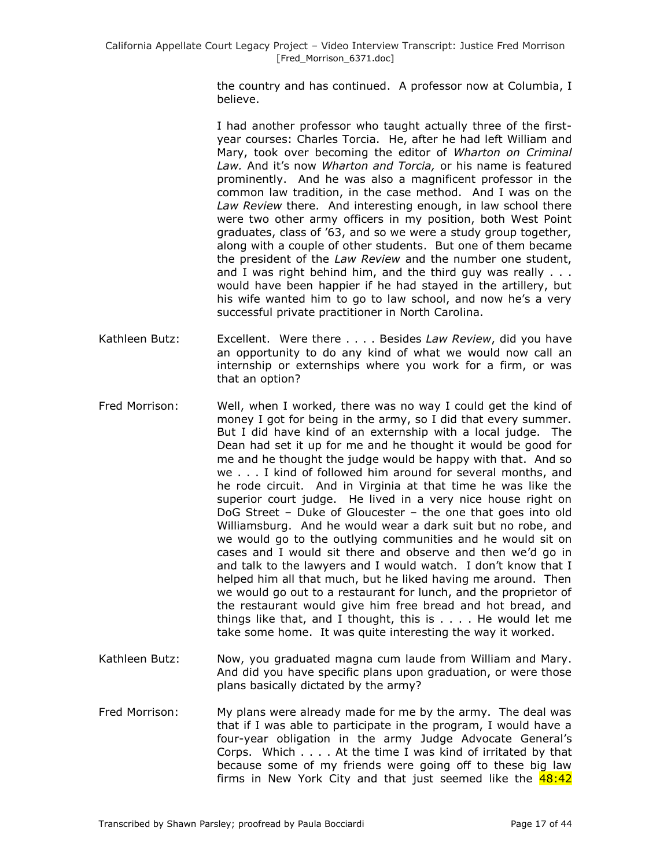the country and has continued. A professor now at Columbia, I believe.

I had another professor who taught actually three of the firstyear courses: Charles Torcia. He, after he had left William and Mary, took over becoming the editor of *Wharton on Criminal Law.* And it's now *Wharton and Torcia,* or his name is featured prominently. And he was also a magnificent professor in the common law tradition, in the case method. And I was on the *Law Review* there. And interesting enough, in law school there were two other army officers in my position, both West Point graduates, class of '63, and so we were a study group together, along with a couple of other students. But one of them became the president of the *Law Review* and the number one student, and I was right behind him, and the third guy was really . . . would have been happier if he had stayed in the artillery, but his wife wanted him to go to law school, and now he's a very successful private practitioner in North Carolina.

- Kathleen Butz: Excellent. Were there . . . . Besides *Law Review*, did you have an opportunity to do any kind of what we would now call an internship or externships where you work for a firm, or was that an option?
- Fred Morrison: Well, when I worked, there was no way I could get the kind of money I got for being in the army, so I did that every summer. But I did have kind of an externship with a local judge. The Dean had set it up for me and he thought it would be good for me and he thought the judge would be happy with that. And so we . . . I kind of followed him around for several months, and he rode circuit. And in Virginia at that time he was like the superior court judge. He lived in a very nice house right on DoG Street – Duke of Gloucester – the one that goes into old Williamsburg. And he would wear a dark suit but no robe, and we would go to the outlying communities and he would sit on cases and I would sit there and observe and then we'd go in and talk to the lawyers and I would watch. I don't know that I helped him all that much, but he liked having me around. Then we would go out to a restaurant for lunch, and the proprietor of the restaurant would give him free bread and hot bread, and things like that, and I thought, this is . . . . He would let me take some home. It was quite interesting the way it worked.
- Kathleen Butz: Now, you graduated magna cum laude from William and Mary. And did you have specific plans upon graduation, or were those plans basically dictated by the army?
- Fred Morrison: My plans were already made for me by the army. The deal was that if I was able to participate in the program, I would have a four-year obligation in the army Judge Advocate General's Corps. Which . . . . At the time I was kind of irritated by that because some of my friends were going off to these big law firms in New York City and that just seemed like the 48:42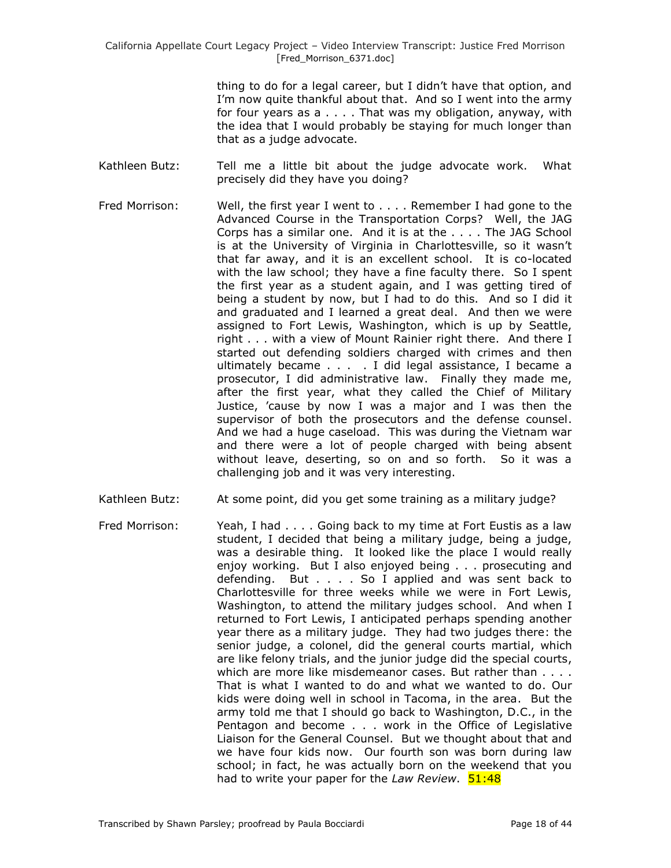thing to do for a legal career, but I didn't have that option, and I'm now quite thankful about that. And so I went into the army for four years as a . . . . That was my obligation, anyway, with the idea that I would probably be staying for much longer than that as a judge advocate.

- Kathleen Butz: Tell me a little bit about the judge advocate work. What precisely did they have you doing?
- Fred Morrison: Well, the first year I went to . . . . Remember I had gone to the Advanced Course in the Transportation Corps? Well, the JAG Corps has a similar one. And it is at the . . . . The JAG School is at the University of Virginia in Charlottesville, so it wasn't that far away, and it is an excellent school. It is co-located with the law school; they have a fine faculty there. So I spent the first year as a student again, and I was getting tired of being a student by now, but I had to do this. And so I did it and graduated and I learned a great deal. And then we were assigned to Fort Lewis, Washington, which is up by Seattle, right . . . with a view of Mount Rainier right there. And there I started out defending soldiers charged with crimes and then ultimately became . . . . I did legal assistance, I became a prosecutor, I did administrative law. Finally they made me, after the first year, what they called the Chief of Military Justice, 'cause by now I was a major and I was then the supervisor of both the prosecutors and the defense counsel. And we had a huge caseload. This was during the Vietnam war and there were a lot of people charged with being absent without leave, deserting, so on and so forth. So it was a challenging job and it was very interesting.
- Kathleen Butz: At some point, did you get some training as a military judge?
- Fred Morrison: Yeah, I had . . . . Going back to my time at Fort Eustis as a law student, I decided that being a military judge, being a judge, was a desirable thing. It looked like the place I would really enjoy working. But I also enjoyed being . . . prosecuting and defending. But . . . . So I applied and was sent back to Charlottesville for three weeks while we were in Fort Lewis, Washington, to attend the military judges school. And when I returned to Fort Lewis, I anticipated perhaps spending another year there as a military judge. They had two judges there: the senior judge, a colonel, did the general courts martial, which are like felony trials, and the junior judge did the special courts, which are more like misdemeanor cases. But rather than . . . . That is what I wanted to do and what we wanted to do. Our kids were doing well in school in Tacoma, in the area. But the army told me that I should go back to Washington, D.C., in the Pentagon and become . . . work in the Office of Legislative Liaison for the General Counsel. But we thought about that and we have four kids now. Our fourth son was born during law school; in fact, he was actually born on the weekend that you had to write your paper for the *Law Review*. **51:48**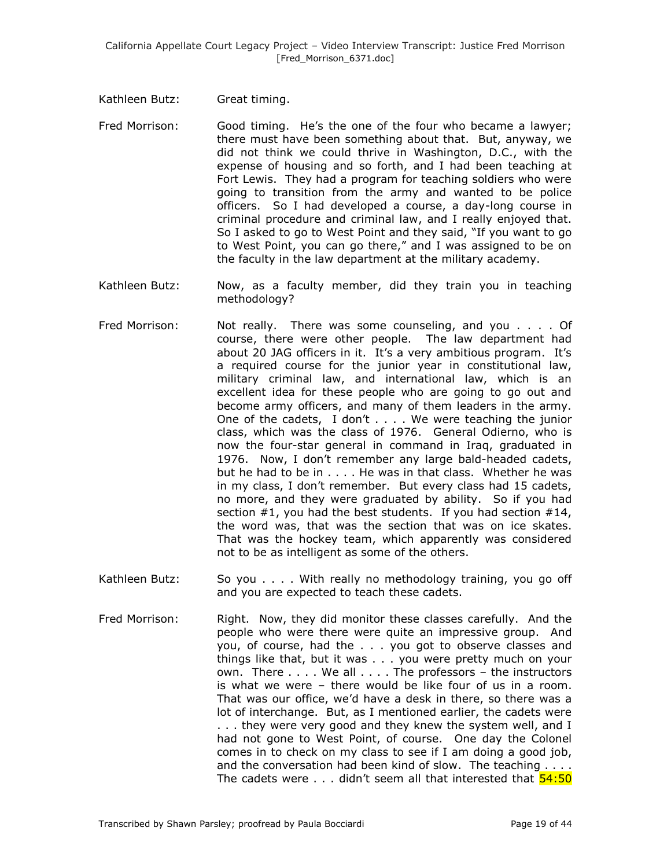Kathleen Butz: Great timing.

- Fred Morrison: Good timing. He's the one of the four who became a lawyer; there must have been something about that. But, anyway, we did not think we could thrive in Washington, D.C., with the expense of housing and so forth, and I had been teaching at Fort Lewis. They had a program for teaching soldiers who were going to transition from the army and wanted to be police officers. So I had developed a course, a day-long course in criminal procedure and criminal law, and I really enjoyed that. So I asked to go to West Point and they said, "If you want to go to West Point, you can go there," and I was assigned to be on the faculty in the law department at the military academy.
- Kathleen Butz: Now, as a faculty member, did they train you in teaching methodology?
- Fred Morrison: Not really. There was some counseling, and you . . . . Of course, there were other people. The law department had about 20 JAG officers in it. It's a very ambitious program. It's a required course for the junior year in constitutional law, military criminal law, and international law, which is an excellent idea for these people who are going to go out and become army officers, and many of them leaders in the army. One of the cadets, I don't . . . . We were teaching the junior class, which was the class of 1976. General Odierno, who is now the four-star general in command in Iraq, graduated in 1976. Now, I don't remember any large bald-headed cadets, but he had to be in . . . . He was in that class. Whether he was in my class, I don't remember. But every class had 15 cadets, no more, and they were graduated by ability. So if you had section  $#1$ , you had the best students. If you had section  $#14$ , the word was, that was the section that was on ice skates. That was the hockey team, which apparently was considered not to be as intelligent as some of the others.
- Kathleen Butz: So you . . . . With really no methodology training, you go off and you are expected to teach these cadets.
- Fred Morrison: Right. Now, they did monitor these classes carefully. And the people who were there were quite an impressive group. And you, of course, had the . . . you got to observe classes and things like that, but it was . . . you were pretty much on your own. There . . . . We all . . . . The professors – the instructors is what we were – there would be like four of us in a room. That was our office, we'd have a desk in there, so there was a lot of interchange. But, as I mentioned earlier, the cadets were . . . they were very good and they knew the system well, and I had not gone to West Point, of course. One day the Colonel comes in to check on my class to see if I am doing a good job, and the conversation had been kind of slow. The teaching . . . . The cadets were  $\dots$  didn't seem all that interested that  $54:50$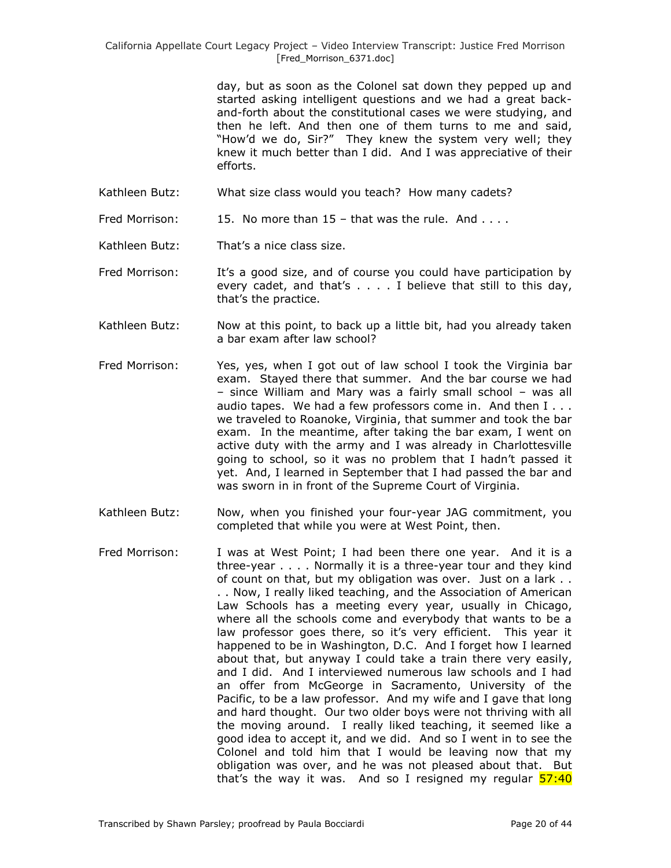> day, but as soon as the Colonel sat down they pepped up and started asking intelligent questions and we had a great backand-forth about the constitutional cases we were studying, and then he left. And then one of them turns to me and said, "How'd we do, Sir?" They knew the system very well; they knew it much better than I did. And I was appreciative of their efforts.

Kathleen Butz: What size class would you teach? How many cadets?

Fred Morrison:  $15.$  No more than  $15$  – that was the rule. And ....

Kathleen Butz: That's a nice class size.

Fred Morrison: It's a good size, and of course you could have participation by every cadet, and that's . . . . I believe that still to this day, that's the practice.

- Kathleen Butz: Now at this point, to back up a little bit, had you already taken a bar exam after law school?
- Fred Morrison: Yes, yes, when I got out of law school I took the Virginia bar exam. Stayed there that summer. And the bar course we had – since William and Mary was a fairly small school – was all audio tapes. We had a few professors come in. And then I . . . we traveled to Roanoke, Virginia, that summer and took the bar exam. In the meantime, after taking the bar exam, I went on active duty with the army and I was already in Charlottesville going to school, so it was no problem that I hadn't passed it yet. And, I learned in September that I had passed the bar and was sworn in in front of the Supreme Court of Virginia.
- Kathleen Butz: Now, when you finished your four-year JAG commitment, you completed that while you were at West Point, then.
- Fred Morrison: I was at West Point; I had been there one year. And it is a three-year . . . . Normally it is a three-year tour and they kind of count on that, but my obligation was over. Just on a lark . . . . Now, I really liked teaching, and the Association of American Law Schools has a meeting every year, usually in Chicago, where all the schools come and everybody that wants to be a law professor goes there, so it's very efficient. This year it happened to be in Washington, D.C. And I forget how I learned about that, but anyway I could take a train there very easily, and I did. And I interviewed numerous law schools and I had an offer from McGeorge in Sacramento, University of the Pacific, to be a law professor. And my wife and I gave that long and hard thought. Our two older boys were not thriving with all the moving around. I really liked teaching, it seemed like a good idea to accept it, and we did. And so I went in to see the Colonel and told him that I would be leaving now that my obligation was over, and he was not pleased about that. But that's the way it was. And so I resigned my regular  $\frac{57:40}{2}$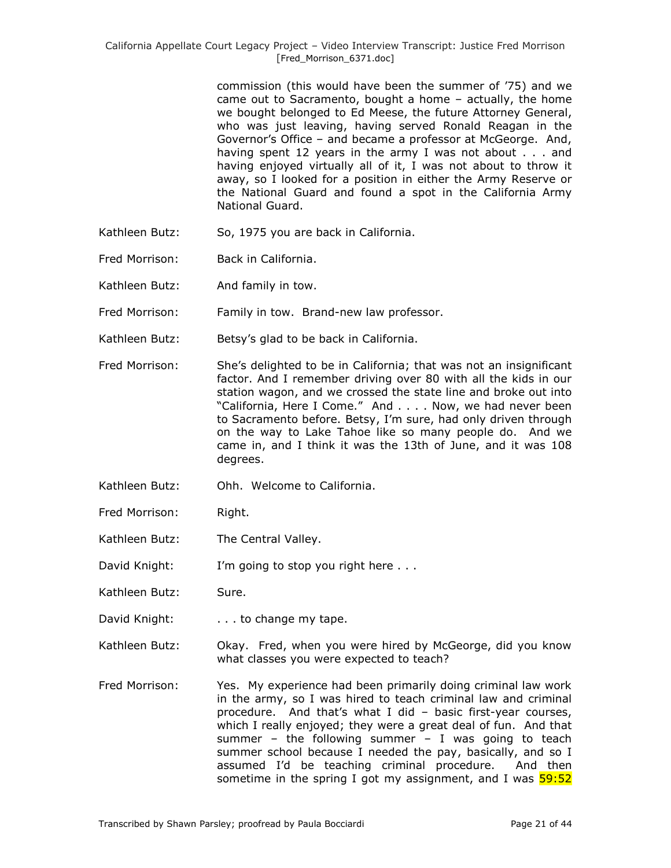commission (this would have been the summer of '75) and we came out to Sacramento, bought a home – actually, the home we bought belonged to Ed Meese, the future Attorney General, who was just leaving, having served Ronald Reagan in the Governor's Office – and became a professor at McGeorge. And, having spent 12 years in the army I was not about . . . and having enjoyed virtually all of it, I was not about to throw it away, so I looked for a position in either the Army Reserve or the National Guard and found a spot in the California Army National Guard.

- Kathleen Butz: So, 1975 you are back in California.
- Fred Morrison: Back in California.
- Kathleen Butz: And family in tow.
- Fred Morrison: Family in tow. Brand-new law professor.
- Kathleen Butz: Betsy's glad to be back in California.
- Fred Morrison: She's delighted to be in California; that was not an insignificant factor. And I remember driving over 80 with all the kids in our station wagon, and we crossed the state line and broke out into "California, Here I Come." And . . . . Now, we had never been to Sacramento before. Betsy, I'm sure, had only driven through on the way to Lake Tahoe like so many people do. And we came in, and I think it was the 13th of June, and it was 108 degrees.
- Kathleen Butz: Ohh. Welcome to California.
- Fred Morrison: Right.
- Kathleen Butz: The Central Valley.

David Knight: I'm going to stop you right here . . .

Kathleen Butz: Sure.

- David Knight: . . . . to change my tape.
- Kathleen Butz: Okay. Fred, when you were hired by McGeorge, did you know what classes you were expected to teach?
- Fred Morrison: Yes. My experience had been primarily doing criminal law work in the army, so I was hired to teach criminal law and criminal procedure. And that's what I did – basic first-year courses, which I really enjoyed; they were a great deal of fun. And that summer – the following summer – I was going to teach summer school because I needed the pay, basically, and so I assumed I'd be teaching criminal procedure. And then sometime in the spring I got my assignment, and I was  $\frac{59:52}{2}$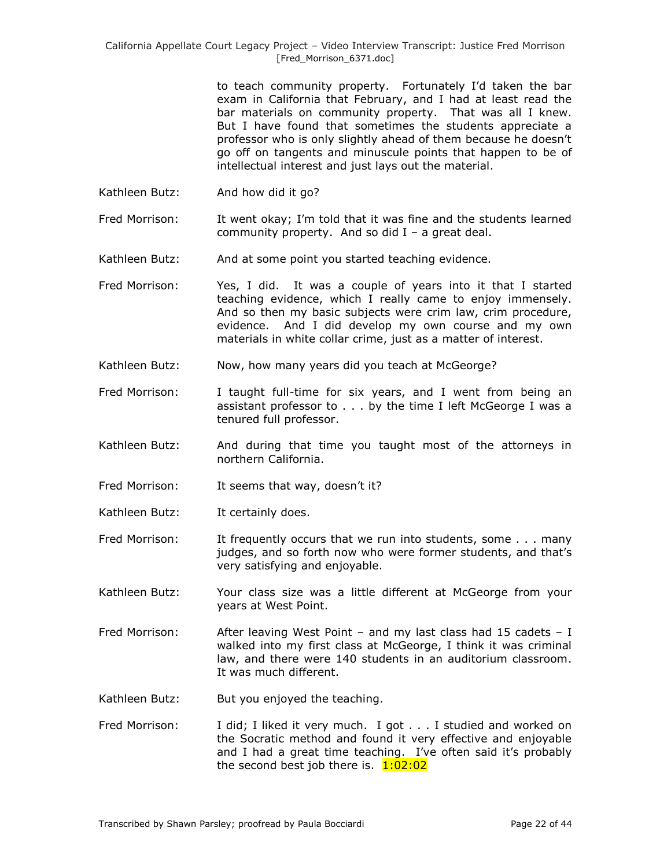> to teach community property. Fortunately I'd taken the bar exam in California that February, and I had at least read the bar materials on community property. That was all I knew. But I have found that sometimes the students appreciate a professor who is only slightly ahead of them because he doesn't go off on tangents and minuscule points that happen to be of intellectual interest and just lays out the material.

Kathleen Butz: And how did it go?

Fred Morrison: It went okay; I'm told that it was fine and the students learned community property. And so did  $I - a$  great deal.

- Kathleen Butz: And at some point you started teaching evidence.
- Fred Morrison: Yes, I did. It was a couple of years into it that I started teaching evidence, which I really came to enjoy immensely. And so then my basic subjects were crim law, crim procedure, evidence. And I did develop my own course and my own materials in white collar crime, just as a matter of interest.
- Kathleen Butz: Now, how many years did you teach at McGeorge?
- Fred Morrison: I taught full-time for six years, and I went from being an assistant professor to . . . by the time I left McGeorge I was a tenured full professor.
- Kathleen Butz: And during that time you taught most of the attorneys in northern California.
- Fred Morrison: It seems that way, doesn't it?
- Kathleen Butz: It certainly does.
- Fred Morrison: It frequently occurs that we run into students, some . . . many judges, and so forth now who were former students, and that's very satisfying and enjoyable.
- Kathleen Butz: Your class size was a little different at McGeorge from your years at West Point.
- Fred Morrison: After leaving West Point and my last class had 15 cadets I walked into my first class at McGeorge, I think it was criminal law, and there were 140 students in an auditorium classroom. It was much different.
- Kathleen Butz: But you enjoyed the teaching.
- Fred Morrison: I did; I liked it very much. I got . . . I studied and worked on the Socratic method and found it very effective and enjoyable and I had a great time teaching. I've often said it's probably the second best job there is.  $1:02:02$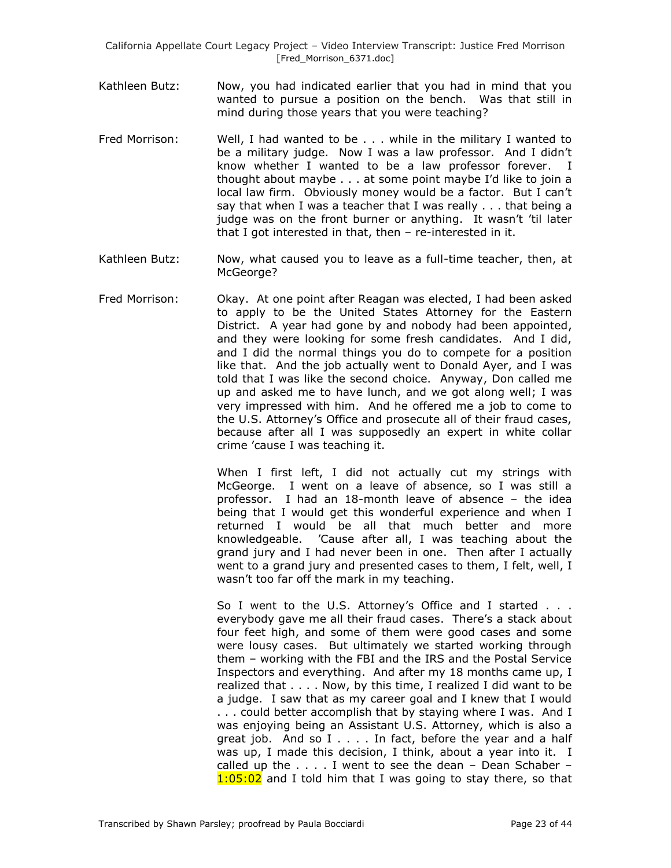- Kathleen Butz: Now, you had indicated earlier that you had in mind that you wanted to pursue a position on the bench. Was that still in mind during those years that you were teaching?
- Fred Morrison: Well, I had wanted to be . . . while in the military I wanted to be a military judge. Now I was a law professor. And I didn't know whether I wanted to be a law professor forever. I thought about maybe . . . at some point maybe I'd like to join a local law firm. Obviously money would be a factor. But I can't say that when I was a teacher that I was really . . . that being a judge was on the front burner or anything. It wasn't 'til later that I got interested in that, then – re-interested in it.
- Kathleen Butz: Now, what caused you to leave as a full-time teacher, then, at McGeorge?
- Fred Morrison: Okay. At one point after Reagan was elected, I had been asked to apply to be the United States Attorney for the Eastern District. A year had gone by and nobody had been appointed, and they were looking for some fresh candidates. And I did, and I did the normal things you do to compete for a position like that. And the job actually went to Donald Ayer, and I was told that I was like the second choice. Anyway, Don called me up and asked me to have lunch, and we got along well; I was very impressed with him. And he offered me a job to come to the U.S. Attorney's Office and prosecute all of their fraud cases, because after all I was supposedly an expert in white collar crime 'cause I was teaching it.

When I first left, I did not actually cut my strings with McGeorge. I went on a leave of absence, so I was still a professor. I had an 18-month leave of absence – the idea being that I would get this wonderful experience and when I returned I would be all that much better and more knowledgeable. 'Cause after all, I was teaching about the grand jury and I had never been in one. Then after I actually went to a grand jury and presented cases to them, I felt, well, I wasn't too far off the mark in my teaching.

So I went to the U.S. Attorney's Office and I started . . . everybody gave me all their fraud cases. There's a stack about four feet high, and some of them were good cases and some were lousy cases. But ultimately we started working through them – working with the FBI and the IRS and the Postal Service Inspectors and everything. And after my 18 months came up, I realized that . . . . Now, by this time, I realized I did want to be a judge. I saw that as my career goal and I knew that I would . . . could better accomplish that by staying where I was. And I was enjoying being an Assistant U.S. Attorney, which is also a great job. And so I . . . . In fact, before the year and a half was up, I made this decision, I think, about a year into it. I called up the  $\dots$ . I went to see the dean - Dean Schaber - $1:05:02$  and I told him that I was going to stay there, so that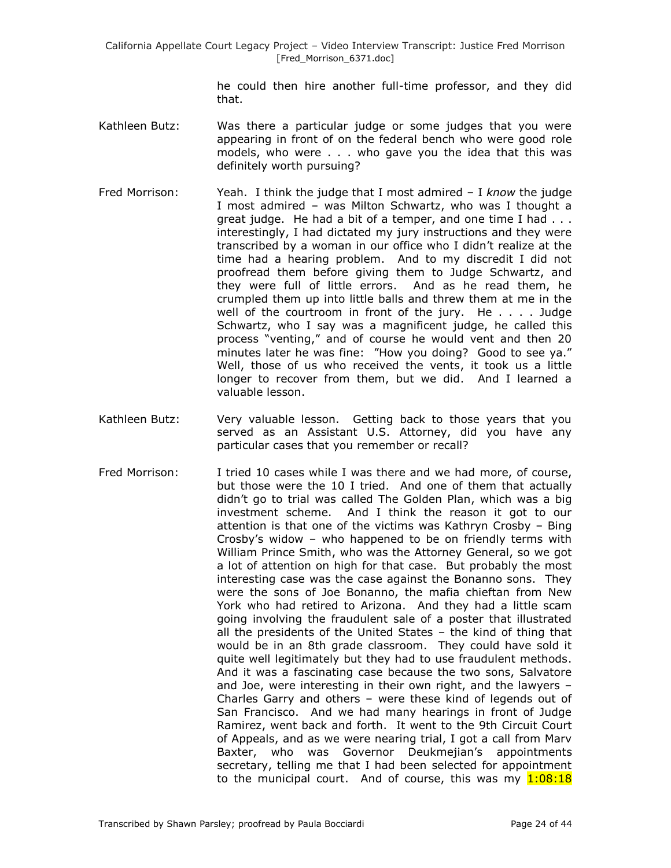he could then hire another full-time professor, and they did that.

- Kathleen Butz: Was there a particular judge or some judges that you were appearing in front of on the federal bench who were good role models, who were . . . who gave you the idea that this was definitely worth pursuing?
- Fred Morrison: Yeah. I think the judge that I most admired I *know* the judge I most admired – was Milton Schwartz, who was I thought a great judge. He had a bit of a temper, and one time I had . . . interestingly, I had dictated my jury instructions and they were transcribed by a woman in our office who I didn't realize at the time had a hearing problem. And to my discredit I did not proofread them before giving them to Judge Schwartz, and they were full of little errors. And as he read them, he crumpled them up into little balls and threw them at me in the well of the courtroom in front of the jury. He . . . . Judge Schwartz, who I say was a magnificent judge, he called this process "venting," and of course he would vent and then 20 minutes later he was fine: "How you doing? Good to see ya." Well, those of us who received the vents, it took us a little longer to recover from them, but we did. And I learned a valuable lesson.
- Kathleen Butz: Very valuable lesson. Getting back to those years that you served as an Assistant U.S. Attorney, did you have any particular cases that you remember or recall?
- Fred Morrison: I tried 10 cases while I was there and we had more, of course, but those were the 10 I tried. And one of them that actually didn't go to trial was called The Golden Plan, which was a big investment scheme. And I think the reason it got to our attention is that one of the victims was Kathryn Crosby – Bing Crosby's widow – who happened to be on friendly terms with William Prince Smith, who was the Attorney General, so we got a lot of attention on high for that case. But probably the most interesting case was the case against the Bonanno sons. They were the sons of Joe Bonanno, the mafia chieftan from New York who had retired to Arizona. And they had a little scam going involving the fraudulent sale of a poster that illustrated all the presidents of the United States – the kind of thing that would be in an 8th grade classroom. They could have sold it quite well legitimately but they had to use fraudulent methods. And it was a fascinating case because the two sons, Salvatore and Joe, were interesting in their own right, and the lawyers – Charles Garry and others – were these kind of legends out of San Francisco. And we had many hearings in front of Judge Ramirez, went back and forth. It went to the 9th Circuit Court of Appeals, and as we were nearing trial, I got a call from Marv Baxter, who was Governor Deukmejian's appointments secretary, telling me that I had been selected for appointment to the municipal court. And of course, this was my  $1:08:18$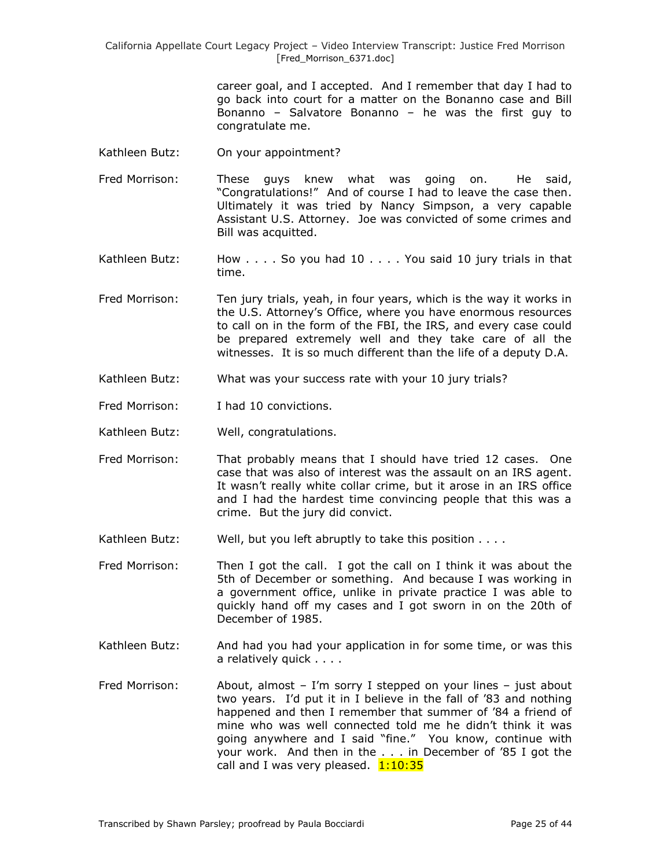> career goal, and I accepted. And I remember that day I had to go back into court for a matter on the Bonanno case and Bill Bonanno – Salvatore Bonanno – he was the first guy to congratulate me.

- Kathleen Butz: On your appointment?
- Fred Morrison: These guys knew what was going on. He said, "Congratulations!" And of course I had to leave the case then. Ultimately it was tried by Nancy Simpson, a very capable Assistant U.S. Attorney. Joe was convicted of some crimes and Bill was acquitted.
- Kathleen Butz: How . . . . So you had 10 . . . . You said 10 jury trials in that time.
- Fred Morrison: Ten jury trials, yeah, in four years, which is the way it works in the U.S. Attorney's Office, where you have enormous resources to call on in the form of the FBI, the IRS, and every case could be prepared extremely well and they take care of all the witnesses. It is so much different than the life of a deputy D.A.
- Kathleen Butz: What was your success rate with your 10 jury trials?
- Fred Morrison: I had 10 convictions.
- Kathleen Butz: Well, congratulations.
- Fred Morrison: That probably means that I should have tried 12 cases. One case that was also of interest was the assault on an IRS agent. It wasn't really white collar crime, but it arose in an IRS office and I had the hardest time convincing people that this was a crime. But the jury did convict.
- Kathleen Butz: Well, but you left abruptly to take this position . . . .

Fred Morrison: Then I got the call. I got the call on I think it was about the 5th of December or something. And because I was working in a government office, unlike in private practice I was able to quickly hand off my cases and I got sworn in on the 20th of December of 1985.

- Kathleen Butz: And had you had your application in for some time, or was this a relatively quick . . . .
- Fred Morrison: About, almost I'm sorry I stepped on your lines just about two years. I'd put it in I believe in the fall of '83 and nothing happened and then I remember that summer of '84 a friend of mine who was well connected told me he didn't think it was going anywhere and I said "fine." You know, continue with your work. And then in the . . . in December of '85 I got the call and I was very pleased. 1:10:35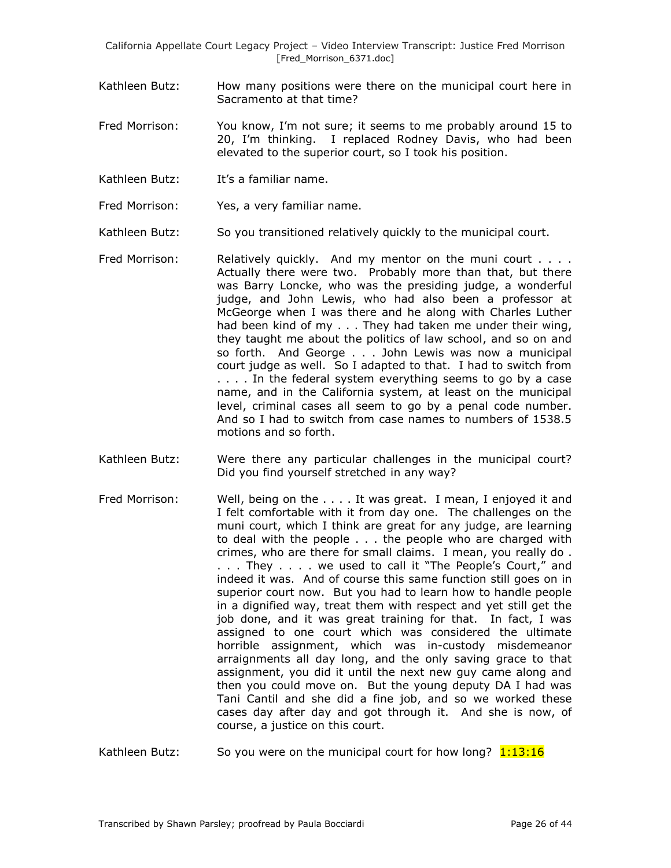- Kathleen Butz: How many positions were there on the municipal court here in Sacramento at that time?
- Fred Morrison: You know, I'm not sure; it seems to me probably around 15 to 20, I'm thinking. I replaced Rodney Davis, who had been elevated to the superior court, so I took his position.
- Kathleen Butz: It's a familiar name.
- Fred Morrison: Yes, a very familiar name.
- Kathleen Butz: So you transitioned relatively quickly to the municipal court.
- Fred Morrison: Relatively quickly. And my mentor on the muni court . . . . Actually there were two. Probably more than that, but there was Barry Loncke, who was the presiding judge, a wonderful judge, and John Lewis, who had also been a professor at McGeorge when I was there and he along with Charles Luther had been kind of my . . . They had taken me under their wing, they taught me about the politics of law school, and so on and so forth. And George . . . John Lewis was now a municipal court judge as well. So I adapted to that. I had to switch from .... In the federal system everything seems to go by a case name, and in the California system, at least on the municipal level, criminal cases all seem to go by a penal code number. And so I had to switch from case names to numbers of 1538.5 motions and so forth.
- Kathleen Butz: Were there any particular challenges in the municipal court? Did you find yourself stretched in any way?
- Fred Morrison: Well, being on the . . . . It was great. I mean, I enjoyed it and I felt comfortable with it from day one. The challenges on the muni court, which I think are great for any judge, are learning to deal with the people . . . the people who are charged with crimes, who are there for small claims. I mean, you really do . ... They .... we used to call it "The People's Court," and indeed it was. And of course this same function still goes on in superior court now. But you had to learn how to handle people in a dignified way, treat them with respect and yet still get the job done, and it was great training for that. In fact, I was assigned to one court which was considered the ultimate horrible assignment, which was in-custody misdemeanor arraignments all day long, and the only saving grace to that assignment, you did it until the next new guy came along and then you could move on. But the young deputy DA I had was Tani Cantil and she did a fine job, and so we worked these cases day after day and got through it. And she is now, of course, a justice on this court.
- Kathleen Butz: So you were on the municipal court for how long?  $1:13:16$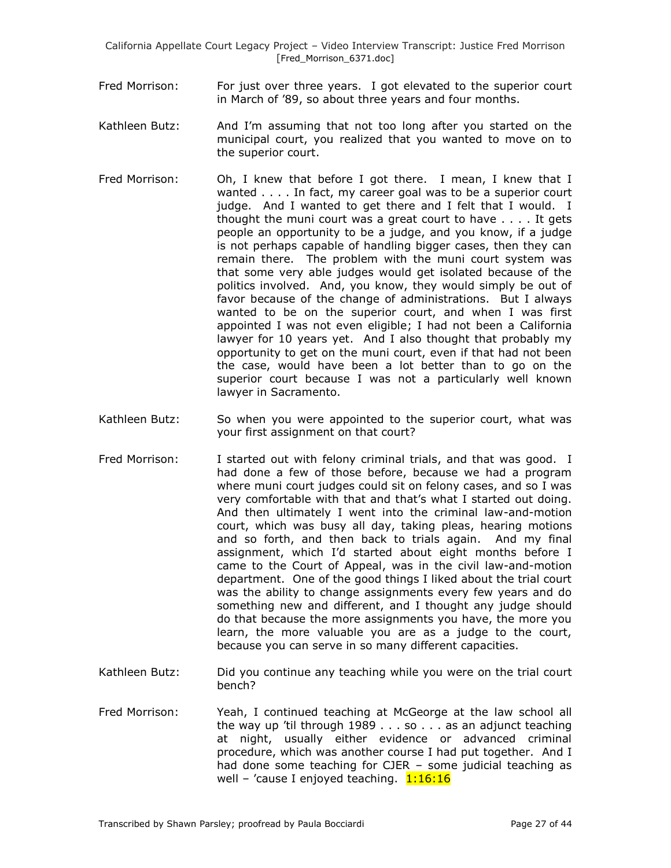- Fred Morrison: For just over three years. I got elevated to the superior court in March of '89, so about three years and four months.
- Kathleen Butz: And I'm assuming that not too long after you started on the municipal court, you realized that you wanted to move on to the superior court.
- Fred Morrison: Oh, I knew that before I got there. I mean, I knew that I wanted . . . . In fact, my career goal was to be a superior court judge. And I wanted to get there and I felt that I would. I thought the muni court was a great court to have . . . . It gets people an opportunity to be a judge, and you know, if a judge is not perhaps capable of handling bigger cases, then they can remain there. The problem with the muni court system was that some very able judges would get isolated because of the politics involved. And, you know, they would simply be out of favor because of the change of administrations. But I always wanted to be on the superior court, and when I was first appointed I was not even eligible; I had not been a California lawyer for 10 years yet. And I also thought that probably my opportunity to get on the muni court, even if that had not been the case, would have been a lot better than to go on the superior court because I was not a particularly well known lawyer in Sacramento.
- Kathleen Butz: So when you were appointed to the superior court, what was your first assignment on that court?
- Fred Morrison: I started out with felony criminal trials, and that was good. I had done a few of those before, because we had a program where muni court judges could sit on felony cases, and so I was very comfortable with that and that's what I started out doing. And then ultimately I went into the criminal law-and-motion court, which was busy all day, taking pleas, hearing motions and so forth, and then back to trials again. And my final assignment, which I'd started about eight months before I came to the Court of Appeal, was in the civil law-and-motion department. One of the good things I liked about the trial court was the ability to change assignments every few years and do something new and different, and I thought any judge should do that because the more assignments you have, the more you learn, the more valuable you are as a judge to the court, because you can serve in so many different capacities.
- Kathleen Butz: Did you continue any teaching while you were on the trial court bench?
- Fred Morrison: Yeah, I continued teaching at McGeorge at the law school all the way up 'til through 1989 . . . so . . . as an adjunct teaching at night, usually either evidence or advanced criminal procedure, which was another course I had put together. And I had done some teaching for CJER – some judicial teaching as well – 'cause I enjoyed teaching.  $1:16:16$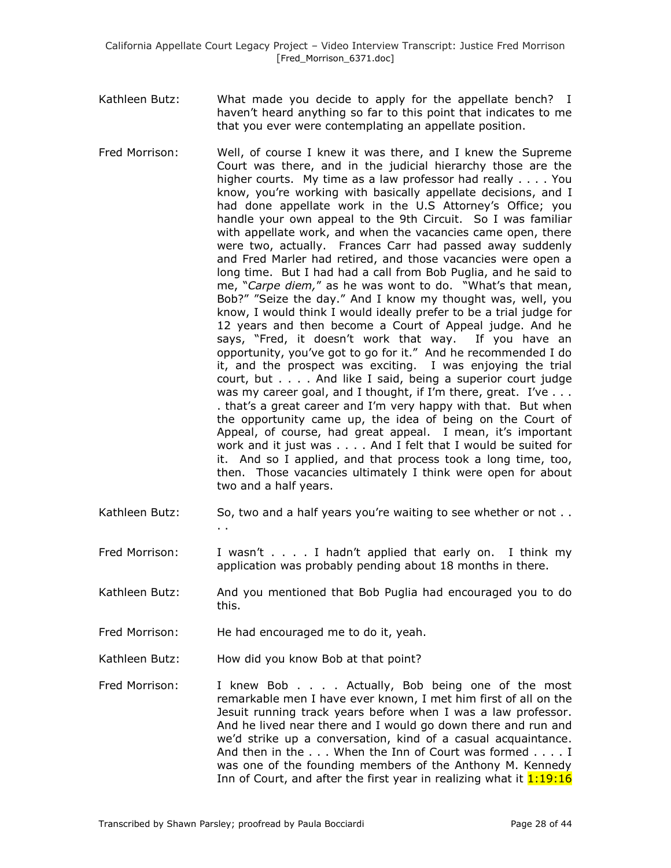- Kathleen Butz: What made you decide to apply for the appellate bench? I haven't heard anything so far to this point that indicates to me that you ever were contemplating an appellate position.
- Fred Morrison: Well, of course I knew it was there, and I knew the Supreme Court was there, and in the judicial hierarchy those are the higher courts. My time as a law professor had really . . . . You know, you're working with basically appellate decisions, and I had done appellate work in the U.S Attorney's Office; you handle your own appeal to the 9th Circuit. So I was familiar with appellate work, and when the vacancies came open, there were two, actually. Frances Carr had passed away suddenly and Fred Marler had retired, and those vacancies were open a long time. But I had had a call from Bob Puglia, and he said to me, "*Carpe diem,*" as he was wont to do. "What's that mean, Bob?" "Seize the day." And I know my thought was, well, you know, I would think I would ideally prefer to be a trial judge for 12 years and then become a Court of Appeal judge. And he says, "Fred, it doesn't work that way. If you have an opportunity, you've got to go for it." And he recommended I do it, and the prospect was exciting. I was enjoying the trial court, but . . . . And like I said, being a superior court judge was my career goal, and I thought, if I'm there, great. I've . . . . that's a great career and I'm very happy with that. But when the opportunity came up, the idea of being on the Court of Appeal, of course, had great appeal. I mean, it's important work and it just was . . . . And I felt that I would be suited for it. And so I applied, and that process took a long time, too, then. Those vacancies ultimately I think were open for about two and a half years.
- Kathleen Butz: So, two and a half years you're waiting to see whether or not .. . .

Fred Morrison: I wasn't . . . . I hadn't applied that early on. I think my application was probably pending about 18 months in there.

- Kathleen Butz: And you mentioned that Bob Puglia had encouraged you to do this.
- Fred Morrison: He had encouraged me to do it, yeah.
- Kathleen Butz: How did you know Bob at that point?
- Fred Morrison: I knew Bob . . . . Actually, Bob being one of the most remarkable men I have ever known, I met him first of all on the Jesuit running track years before when I was a law professor. And he lived near there and I would go down there and run and we'd strike up a conversation, kind of a casual acquaintance. And then in the . . . When the Inn of Court was formed . . . . I was one of the founding members of the Anthony M. Kennedy Inn of Court, and after the first year in realizing what it  $1:19:16$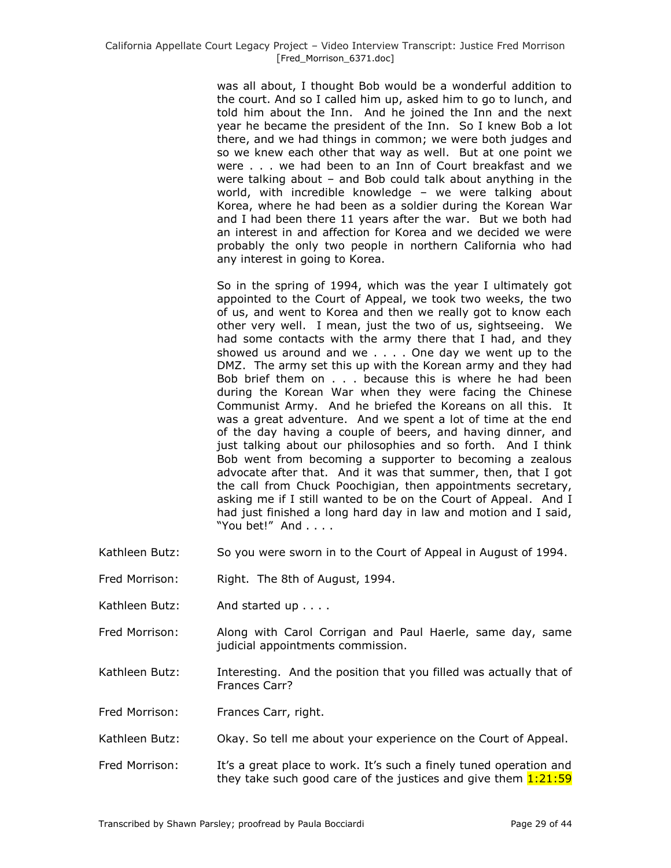was all about, I thought Bob would be a wonderful addition to the court. And so I called him up, asked him to go to lunch, and told him about the Inn. And he joined the Inn and the next year he became the president of the Inn. So I knew Bob a lot there, and we had things in common; we were both judges and so we knew each other that way as well. But at one point we were . . . we had been to an Inn of Court breakfast and we were talking about – and Bob could talk about anything in the world, with incredible knowledge – we were talking about Korea, where he had been as a soldier during the Korean War and I had been there 11 years after the war. But we both had an interest in and affection for Korea and we decided we were probably the only two people in northern California who had any interest in going to Korea.

So in the spring of 1994, which was the year I ultimately got appointed to the Court of Appeal, we took two weeks, the two of us, and went to Korea and then we really got to know each other very well. I mean, just the two of us, sightseeing. We had some contacts with the army there that I had, and they showed us around and we . . . . One day we went up to the DMZ. The army set this up with the Korean army and they had Bob brief them on . . . because this is where he had been during the Korean War when they were facing the Chinese Communist Army. And he briefed the Koreans on all this. It was a great adventure. And we spent a lot of time at the end of the day having a couple of beers, and having dinner, and just talking about our philosophies and so forth. And I think Bob went from becoming a supporter to becoming a zealous advocate after that. And it was that summer, then, that I got the call from Chuck Poochigian, then appointments secretary, asking me if I still wanted to be on the Court of Appeal. And I had just finished a long hard day in law and motion and I said, "You bet!" And . . . .

- Kathleen Butz: So you were sworn in to the Court of Appeal in August of 1994.
- Fred Morrison: Right. The 8th of August, 1994.
- Kathleen Butz: And started up . . . .
- Fred Morrison: Along with Carol Corrigan and Paul Haerle, same day, same judicial appointments commission.
- Kathleen Butz: Interesting. And the position that you filled was actually that of Frances Carr?

Fred Morrison: Frances Carr, right.

- Kathleen Butz: Okay. So tell me about your experience on the Court of Appeal.
- Fred Morrison: It's a great place to work. It's such a finely tuned operation and they take such good care of the justices and give them  $1:21:59$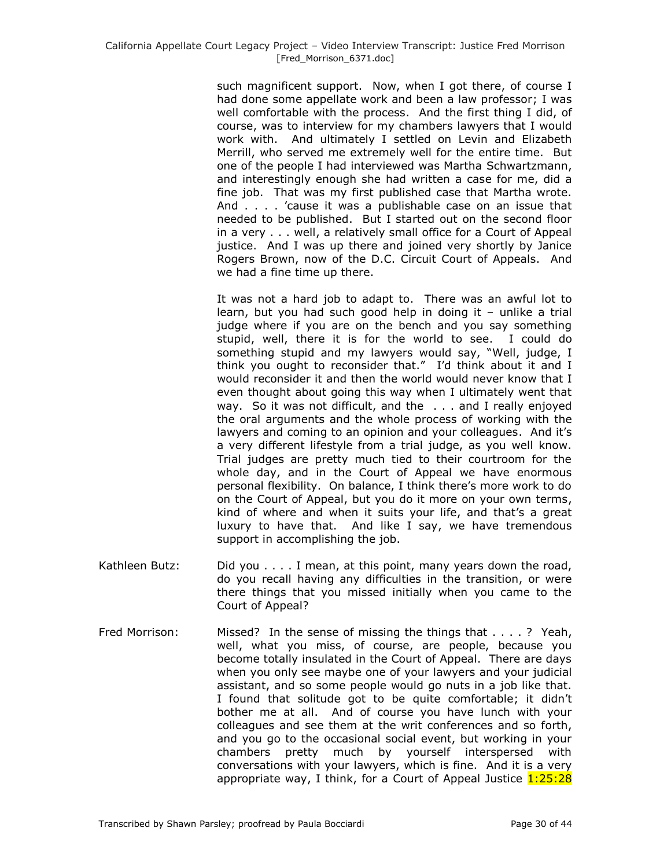such magnificent support. Now, when I got there, of course I had done some appellate work and been a law professor; I was well comfortable with the process. And the first thing I did, of course, was to interview for my chambers lawyers that I would work with. And ultimately I settled on Levin and Elizabeth Merrill, who served me extremely well for the entire time. But one of the people I had interviewed was Martha Schwartzmann, and interestingly enough she had written a case for me, did a fine job. That was my first published case that Martha wrote. And . . . . 'cause it was a publishable case on an issue that needed to be published. But I started out on the second floor in a very . . . well, a relatively small office for a Court of Appeal justice. And I was up there and joined very shortly by Janice Rogers Brown, now of the D.C. Circuit Court of Appeals. And we had a fine time up there.

It was not a hard job to adapt to. There was an awful lot to learn, but you had such good help in doing it – unlike a trial judge where if you are on the bench and you say something stupid, well, there it is for the world to see. I could do something stupid and my lawyers would say, "Well, judge, I think you ought to reconsider that." I'd think about it and I would reconsider it and then the world would never know that I even thought about going this way when I ultimately went that way. So it was not difficult, and the . . . and I really enjoyed the oral arguments and the whole process of working with the lawyers and coming to an opinion and your colleagues. And it's a very different lifestyle from a trial judge, as you well know. Trial judges are pretty much tied to their courtroom for the whole day, and in the Court of Appeal we have enormous personal flexibility. On balance, I think there's more work to do on the Court of Appeal, but you do it more on your own terms, kind of where and when it suits your life, and that's a great luxury to have that. And like I say, we have tremendous support in accomplishing the job.

- Kathleen Butz: Did you . . . . I mean, at this point, many years down the road, do you recall having any difficulties in the transition, or were there things that you missed initially when you came to the Court of Appeal?
- Fred Morrison: Missed? In the sense of missing the things that . . . . ? Yeah, well, what you miss, of course, are people, because you become totally insulated in the Court of Appeal. There are days when you only see maybe one of your lawyers and your judicial assistant, and so some people would go nuts in a job like that. I found that solitude got to be quite comfortable; it didn't bother me at all. And of course you have lunch with your colleagues and see them at the writ conferences and so forth, and you go to the occasional social event, but working in your chambers pretty much by yourself interspersed with conversations with your lawyers, which is fine. And it is a very appropriate way, I think, for a Court of Appeal Justice 1:25:28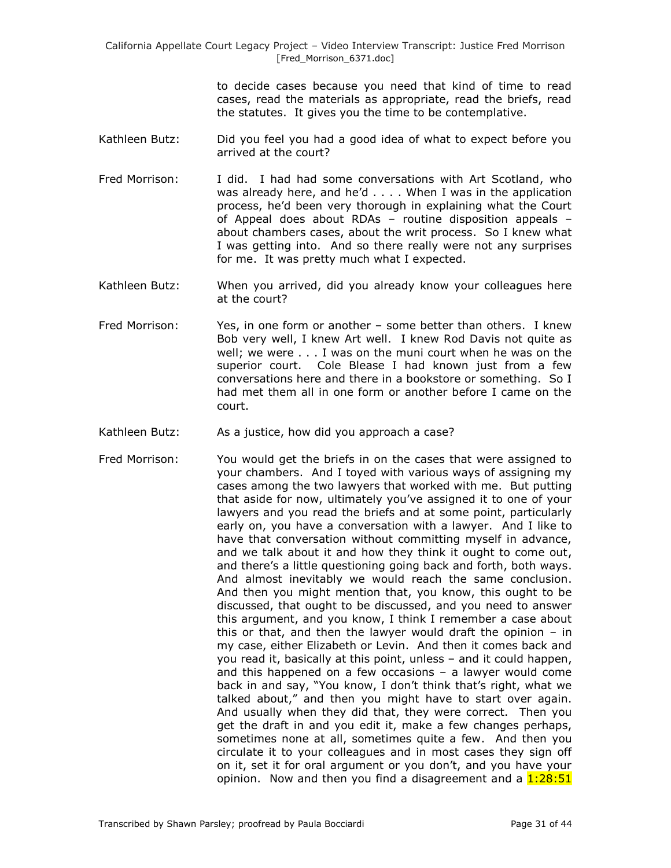to decide cases because you need that kind of time to read cases, read the materials as appropriate, read the briefs, read the statutes. It gives you the time to be contemplative.

- Kathleen Butz: Did you feel you had a good idea of what to expect before you arrived at the court?
- Fred Morrison: I did. I had had some conversations with Art Scotland, who was already here, and he'd . . . . When I was in the application process, he'd been very thorough in explaining what the Court of Appeal does about RDAs – routine disposition appeals – about chambers cases, about the writ process. So I knew what I was getting into. And so there really were not any surprises for me. It was pretty much what I expected.
- Kathleen Butz: When you arrived, did you already know your colleagues here at the court?
- Fred Morrison: Yes, in one form or another some better than others. I knew Bob very well, I knew Art well. I knew Rod Davis not quite as well; we were . . . I was on the muni court when he was on the superior court. Cole Blease I had known just from a few conversations here and there in a bookstore or something. So I had met them all in one form or another before I came on the court.
- Kathleen Butz: As a justice, how did you approach a case?
- Fred Morrison: You would get the briefs in on the cases that were assigned to your chambers. And I toyed with various ways of assigning my cases among the two lawyers that worked with me. But putting that aside for now, ultimately you've assigned it to one of your lawyers and you read the briefs and at some point, particularly early on, you have a conversation with a lawyer. And I like to have that conversation without committing myself in advance, and we talk about it and how they think it ought to come out, and there's a little questioning going back and forth, both ways. And almost inevitably we would reach the same conclusion. And then you might mention that, you know, this ought to be discussed, that ought to be discussed, and you need to answer this argument, and you know, I think I remember a case about this or that, and then the lawyer would draft the opinion – in my case, either Elizabeth or Levin. And then it comes back and you read it, basically at this point, unless – and it could happen, and this happened on a few occasions – a lawyer would come back in and say, "You know, I don't think that's right, what we talked about," and then you might have to start over again. And usually when they did that, they were correct. Then you get the draft in and you edit it, make a few changes perhaps, sometimes none at all, sometimes quite a few. And then you circulate it to your colleagues and in most cases they sign off on it, set it for oral argument or you don't, and you have your opinion. Now and then you find a disagreement and a  $1:28:51$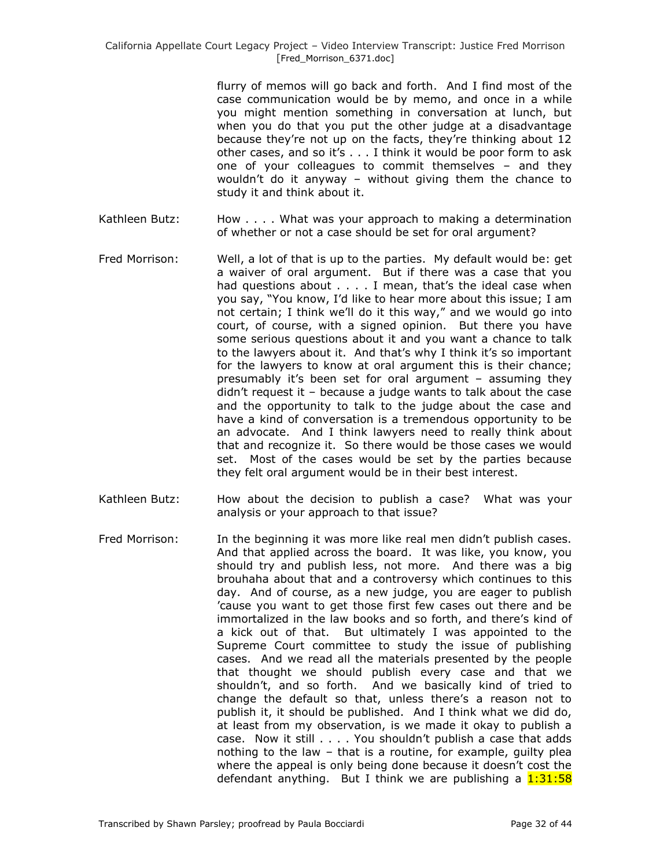flurry of memos will go back and forth. And I find most of the case communication would be by memo, and once in a while you might mention something in conversation at lunch, but when you do that you put the other judge at a disadvantage because they're not up on the facts, they're thinking about 12 other cases, and so it's . . . I think it would be poor form to ask one of your colleagues to commit themselves – and they wouldn't do it anyway – without giving them the chance to study it and think about it.

- Kathleen Butz: How . . . . What was your approach to making a determination of whether or not a case should be set for oral argument?
- Fred Morrison: Well, a lot of that is up to the parties. My default would be: get a waiver of oral argument. But if there was a case that you had questions about . . . . I mean, that's the ideal case when you say, "You know, I'd like to hear more about this issue; I am not certain; I think we'll do it this way," and we would go into court, of course, with a signed opinion. But there you have some serious questions about it and you want a chance to talk to the lawyers about it. And that's why I think it's so important for the lawyers to know at oral argument this is their chance; presumably it's been set for oral argument – assuming they didn't request it – because a judge wants to talk about the case and the opportunity to talk to the judge about the case and have a kind of conversation is a tremendous opportunity to be an advocate. And I think lawyers need to really think about that and recognize it. So there would be those cases we would set. Most of the cases would be set by the parties because they felt oral argument would be in their best interest.
- Kathleen Butz: How about the decision to publish a case? What was your analysis or your approach to that issue?
- Fred Morrison: In the beginning it was more like real men didn't publish cases. And that applied across the board. It was like, you know, you should try and publish less, not more. And there was a big brouhaha about that and a controversy which continues to this day. And of course, as a new judge, you are eager to publish 'cause you want to get those first few cases out there and be immortalized in the law books and so forth, and there's kind of a kick out of that. But ultimately I was appointed to the Supreme Court committee to study the issue of publishing cases. And we read all the materials presented by the people that thought we should publish every case and that we shouldn't, and so forth. And we basically kind of tried to change the default so that, unless there's a reason not to publish it, it should be published. And I think what we did do, at least from my observation, is we made it okay to publish a case. Now it still . . . . You shouldn't publish a case that adds nothing to the law – that is a routine, for example, guilty plea where the appeal is only being done because it doesn't cost the defendant anything. But I think we are publishing a  $1:31:58$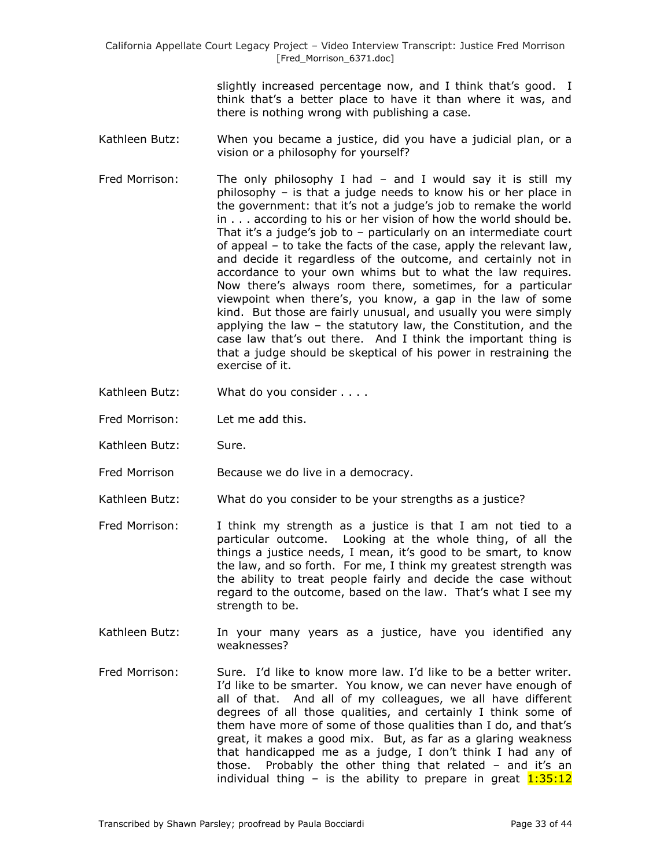> slightly increased percentage now, and I think that's good. I think that's a better place to have it than where it was, and there is nothing wrong with publishing a case.

- Kathleen Butz: When you became a justice, did you have a judicial plan, or a vision or a philosophy for yourself?
- Fred Morrison: The only philosophy I had and I would say it is still my philosophy – is that a judge needs to know his or her place in the government: that it's not a judge's job to remake the world in . . . according to his or her vision of how the world should be. That it's a judge's job to – particularly on an intermediate court of appeal – to take the facts of the case, apply the relevant law, and decide it regardless of the outcome, and certainly not in accordance to your own whims but to what the law requires. Now there's always room there, sometimes, for a particular viewpoint when there's, you know, a gap in the law of some kind. But those are fairly unusual, and usually you were simply applying the law – the statutory law, the Constitution, and the case law that's out there. And I think the important thing is that a judge should be skeptical of his power in restraining the exercise of it.
- Kathleen Butz: What do you consider . . . .
- Fred Morrison: Let me add this.
- Kathleen Butz: Sure.
- Fred Morrison Because we do live in a democracy.
- Kathleen Butz: What do you consider to be your strengths as a justice?
- Fred Morrison: I think my strength as a justice is that I am not tied to a particular outcome. Looking at the whole thing, of all the things a justice needs, I mean, it's good to be smart, to know the law, and so forth. For me, I think my greatest strength was the ability to treat people fairly and decide the case without regard to the outcome, based on the law. That's what I see my strength to be.
- Kathleen Butz: In your many years as a justice, have you identified any weaknesses?
- Fred Morrison: Sure. I'd like to know more law. I'd like to be a better writer. I'd like to be smarter. You know, we can never have enough of all of that. And all of my colleagues, we all have different degrees of all those qualities, and certainly I think some of them have more of some of those qualities than I do, and that's great, it makes a good mix. But, as far as a glaring weakness that handicapped me as a judge, I don't think I had any of those. Probably the other thing that related – and it's an individual thing – is the ability to prepare in great  $1:35:12$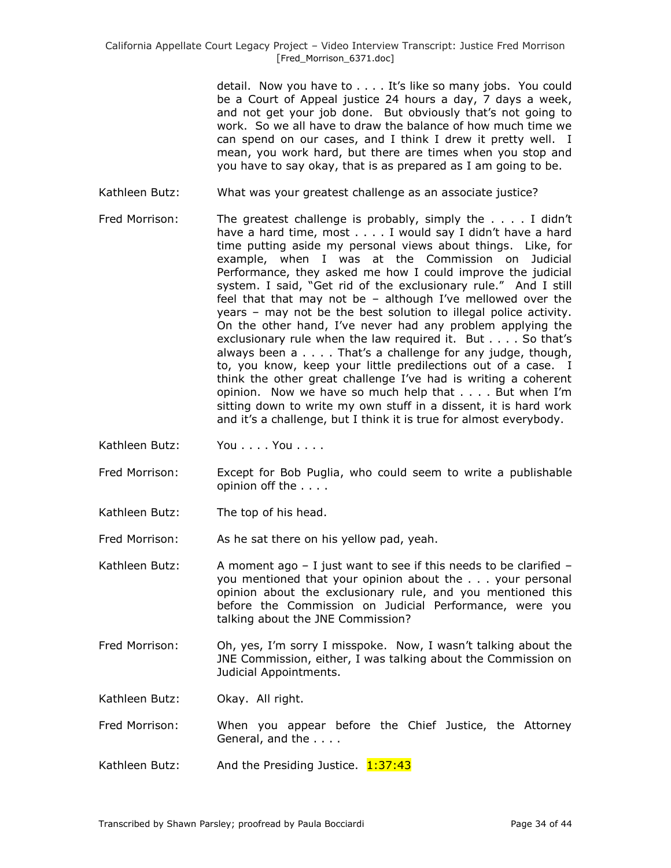detail. Now you have to . . . . It's like so many jobs. You could be a Court of Appeal justice 24 hours a day, 7 days a week, and not get your job done. But obviously that's not going to work. So we all have to draw the balance of how much time we can spend on our cases, and I think I drew it pretty well. I mean, you work hard, but there are times when you stop and you have to say okay, that is as prepared as I am going to be.

- Kathleen Butz: What was your greatest challenge as an associate justice?
- Fred Morrison: The greatest challenge is probably, simply the . . . . I didn't have a hard time, most . . . . I would say I didn't have a hard time putting aside my personal views about things. Like, for example, when I was at the Commission on Judicial Performance, they asked me how I could improve the judicial system. I said, "Get rid of the exclusionary rule." And I still feel that that may not be – although I've mellowed over the years – may not be the best solution to illegal police activity. On the other hand, I've never had any problem applying the exclusionary rule when the law required it. But . . . . So that's always been a . . . . That's a challenge for any judge, though, to, you know, keep your little predilections out of a case. I think the other great challenge I've had is writing a coherent opinion. Now we have so much help that . . . . But when I'm sitting down to write my own stuff in a dissent, it is hard work and it's a challenge, but I think it is true for almost everybody.
- Kathleen Butz: You . . . . You . . . .
- Fred Morrison: Except for Bob Puglia, who could seem to write a publishable opinion off the . . . .
- Kathleen Butz: The top of his head.

Fred Morrison: As he sat there on his yellow pad, yeah.

Kathleen Butz: A moment ago  $-$  I just want to see if this needs to be clarified  $$ you mentioned that your opinion about the . . . your personal opinion about the exclusionary rule, and you mentioned this before the Commission on Judicial Performance, were you talking about the JNE Commission?

Fred Morrison: Oh, yes, I'm sorry I misspoke. Now, I wasn't talking about the JNE Commission, either, I was talking about the Commission on Judicial Appointments.

Kathleen Butz: Okay. All right.

Fred Morrison: When you appear before the Chief Justice, the Attorney General, and the . . . .

Kathleen Butz: And the Presiding Justice.  $1:37:43$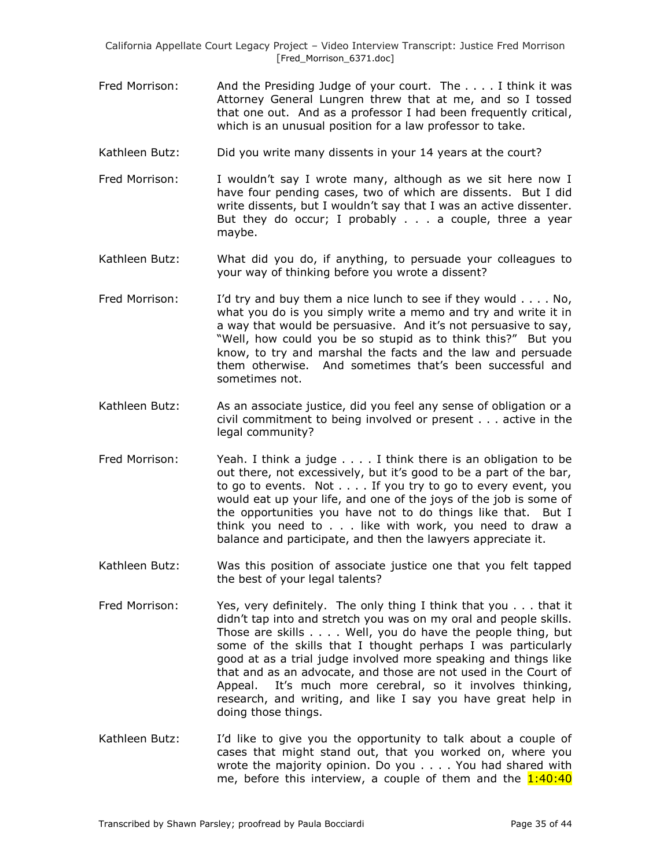- Fred Morrison: And the Presiding Judge of your court. The . . . . I think it was Attorney General Lungren threw that at me, and so I tossed that one out. And as a professor I had been frequently critical, which is an unusual position for a law professor to take.
- Kathleen Butz: Did you write many dissents in your 14 years at the court?
- Fred Morrison: I wouldn't say I wrote many, although as we sit here now I have four pending cases, two of which are dissents. But I did write dissents, but I wouldn't say that I was an active dissenter. But they do occur; I probably . . . a couple, three a year maybe.
- Kathleen Butz: What did you do, if anything, to persuade your colleagues to your way of thinking before you wrote a dissent?
- Fred Morrison: I'd try and buy them a nice lunch to see if they would . . . . No, what you do is you simply write a memo and try and write it in a way that would be persuasive. And it's not persuasive to say, "Well, how could you be so stupid as to think this?" But you know, to try and marshal the facts and the law and persuade them otherwise. And sometimes that's been successful and sometimes not.
- Kathleen Butz: As an associate justice, did you feel any sense of obligation or a civil commitment to being involved or present . . . active in the legal community?
- Fred Morrison: Yeah. I think a judge . . . . I think there is an obligation to be out there, not excessively, but it's good to be a part of the bar, to go to events. Not . . . . If you try to go to every event, you would eat up your life, and one of the joys of the job is some of the opportunities you have not to do things like that. But I think you need to . . . like with work, you need to draw a balance and participate, and then the lawyers appreciate it.
- Kathleen Butz: Was this position of associate justice one that you felt tapped the best of your legal talents?
- Fred Morrison: Yes, very definitely. The only thing I think that you . . . that it didn't tap into and stretch you was on my oral and people skills. Those are skills . . . . Well, you do have the people thing, but some of the skills that I thought perhaps I was particularly good at as a trial judge involved more speaking and things like that and as an advocate, and those are not used in the Court of Appeal. It's much more cerebral, so it involves thinking, research, and writing, and like I say you have great help in doing those things.
- Kathleen Butz: I'd like to give you the opportunity to talk about a couple of cases that might stand out, that you worked on, where you wrote the majority opinion. Do you . . . . You had shared with me, before this interview, a couple of them and the  $1:40:40$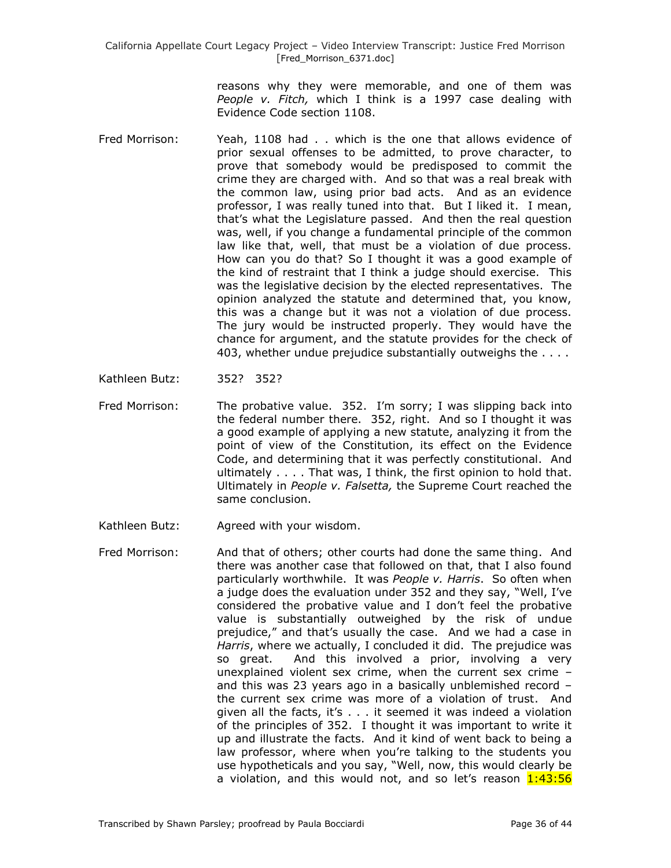> reasons why they were memorable, and one of them was *People v. Fitch,* which I think is a 1997 case dealing with Evidence Code section 1108.

- Fred Morrison: Yeah, 1108 had . . which is the one that allows evidence of prior sexual offenses to be admitted, to prove character, to prove that somebody would be predisposed to commit the crime they are charged with. And so that was a real break with the common law, using prior bad acts. And as an evidence professor, I was really tuned into that. But I liked it. I mean, that's what the Legislature passed. And then the real question was, well, if you change a fundamental principle of the common law like that, well, that must be a violation of due process. How can you do that? So I thought it was a good example of the kind of restraint that I think a judge should exercise. This was the legislative decision by the elected representatives. The opinion analyzed the statute and determined that, you know, this was a change but it was not a violation of due process. The jury would be instructed properly. They would have the chance for argument, and the statute provides for the check of 403, whether undue prejudice substantially outweighs the . . . .
- Kathleen Butz: 352? 352?
- Fred Morrison: The probative value. 352. I'm sorry; I was slipping back into the federal number there. 352, right. And so I thought it was a good example of applying a new statute, analyzing it from the point of view of the Constitution, its effect on the Evidence Code, and determining that it was perfectly constitutional. And ultimately . . . . That was, I think, the first opinion to hold that. Ultimately in *People v. Falsetta,* the Supreme Court reached the same conclusion.
- Kathleen Butz: Agreed with your wisdom.
- Fred Morrison: And that of others; other courts had done the same thing. And there was another case that followed on that, that I also found particularly worthwhile. It was *People v. Harris*. So often when a judge does the evaluation under 352 and they say, "Well, I've considered the probative value and I don't feel the probative value is substantially outweighed by the risk of undue prejudice," and that's usually the case. And we had a case in *Harris*, where we actually, I concluded it did. The prejudice was so great. And this involved a prior, involving a very unexplained violent sex crime, when the current sex crime – and this was 23 years ago in a basically unblemished record – the current sex crime was more of a violation of trust. And given all the facts, it's . . . it seemed it was indeed a violation of the principles of 352. I thought it was important to write it up and illustrate the facts. And it kind of went back to being a law professor, where when you're talking to the students you use hypotheticals and you say, "Well, now, this would clearly be a violation, and this would not, and so let's reason 1:43:56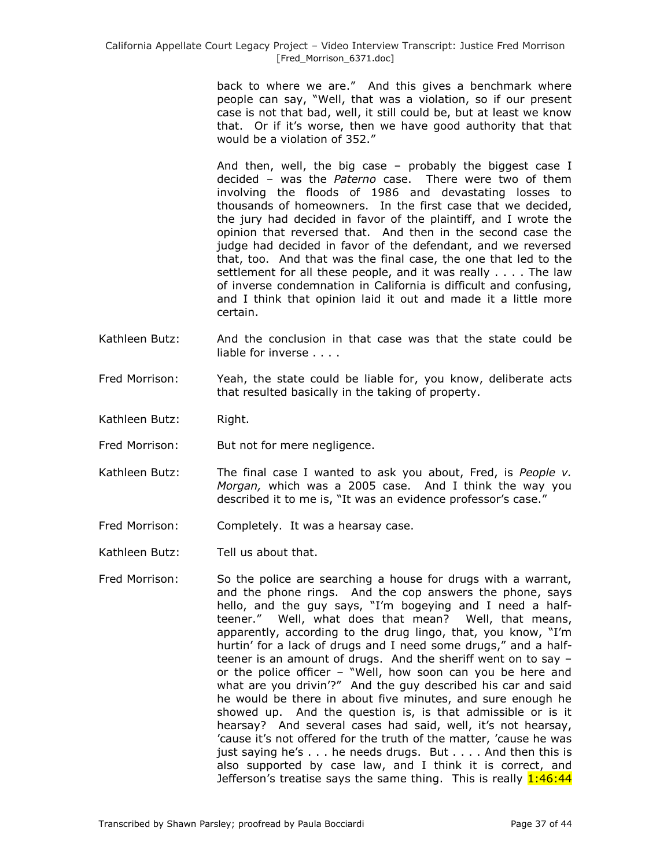back to where we are." And this gives a benchmark where people can say, "Well, that was a violation, so if our present case is not that bad, well, it still could be, but at least we know that. Or if it's worse, then we have good authority that that would be a violation of 352."

And then, well, the big case – probably the biggest case I decided – was the *Paterno* case. There were two of them involving the floods of 1986 and devastating losses to thousands of homeowners. In the first case that we decided, the jury had decided in favor of the plaintiff, and I wrote the opinion that reversed that. And then in the second case the judge had decided in favor of the defendant, and we reversed that, too. And that was the final case, the one that led to the settlement for all these people, and it was really . . . . The law of inverse condemnation in California is difficult and confusing, and I think that opinion laid it out and made it a little more certain.

- Kathleen Butz: And the conclusion in that case was that the state could be liable for inverse . . . .
- Fred Morrison: Yeah, the state could be liable for, you know, deliberate acts that resulted basically in the taking of property.
- Kathleen Butz: Right.
- Fred Morrison: But not for mere negligence.
- Kathleen Butz: The final case I wanted to ask you about, Fred, is *People v. Morgan,* which was a 2005 case. And I think the way you described it to me is, "It was an evidence professor's case."
- Fred Morrison: Completely. It was a hearsay case.
- Kathleen Butz: Tell us about that.
- Fred Morrison: So the police are searching a house for drugs with a warrant, and the phone rings. And the cop answers the phone, says hello, and the guy says, "I'm bogeying and I need a halfteener." Well, what does that mean? Well, that means, apparently, according to the drug lingo, that, you know, "I'm hurtin' for a lack of drugs and I need some drugs," and a halfteener is an amount of drugs. And the sheriff went on to say – or the police officer – "Well, how soon can you be here and what are you drivin'?" And the guy described his car and said he would be there in about five minutes, and sure enough he showed up. And the question is, is that admissible or is it hearsay? And several cases had said, well, it's not hearsay, 'cause it's not offered for the truth of the matter, 'cause he was just saying he's . . . he needs drugs. But . . . . And then this is also supported by case law, and I think it is correct, and Jefferson's treatise says the same thing. This is really  $1:46:44$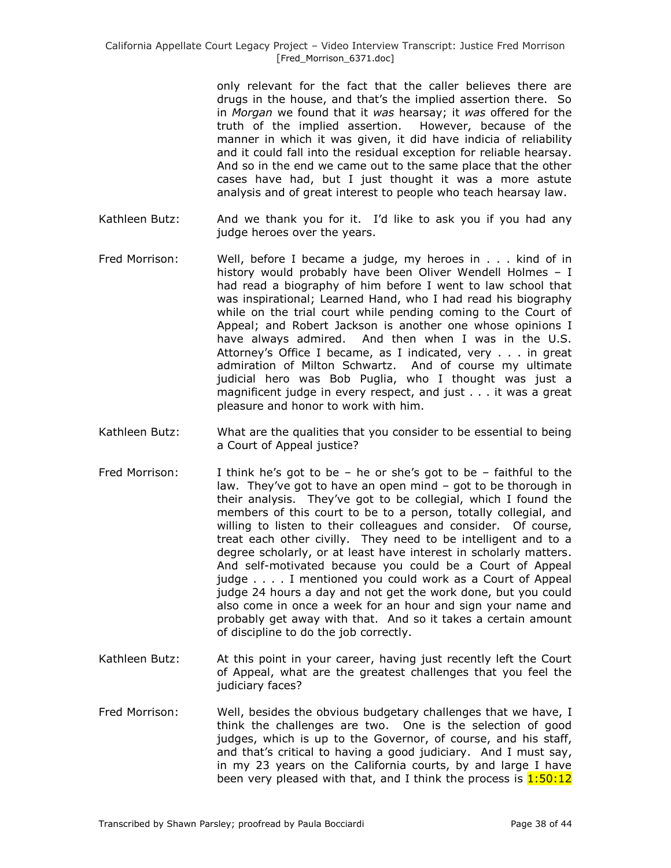only relevant for the fact that the caller believes there are drugs in the house, and that's the implied assertion there. So in *Morgan* we found that it *was* hearsay; it *was* offered for the truth of the implied assertion. However, because of the manner in which it was given, it did have indicia of reliability and it could fall into the residual exception for reliable hearsay. And so in the end we came out to the same place that the other cases have had, but I just thought it was a more astute analysis and of great interest to people who teach hearsay law.

- Kathleen Butz: And we thank you for it. I'd like to ask you if you had any judge heroes over the years.
- Fred Morrison: Well, before I became a judge, my heroes in . . . kind of in history would probably have been Oliver Wendell Holmes – I had read a biography of him before I went to law school that was inspirational; Learned Hand, who I had read his biography while on the trial court while pending coming to the Court of Appeal; and Robert Jackson is another one whose opinions I have always admired. And then when I was in the U.S. Attorney's Office I became, as I indicated, very . . . in great admiration of Milton Schwartz. And of course my ultimate judicial hero was Bob Puglia, who I thought was just a magnificent judge in every respect, and just . . . it was a great pleasure and honor to work with him.
- Kathleen Butz: What are the qualities that you consider to be essential to being a Court of Appeal justice?
- Fred Morrison: I think he's got to be he or she's got to be faithful to the law. They've got to have an open mind – got to be thorough in their analysis. They've got to be collegial, which I found the members of this court to be to a person, totally collegial, and willing to listen to their colleagues and consider. Of course, treat each other civilly. They need to be intelligent and to a degree scholarly, or at least have interest in scholarly matters. And self-motivated because you could be a Court of Appeal judge . . . . I mentioned you could work as a Court of Appeal judge 24 hours a day and not get the work done, but you could also come in once a week for an hour and sign your name and probably get away with that. And so it takes a certain amount of discipline to do the job correctly.
- Kathleen Butz: At this point in your career, having just recently left the Court of Appeal, what are the greatest challenges that you feel the judiciary faces?
- Fred Morrison: Well, besides the obvious budgetary challenges that we have, I think the challenges are two. One is the selection of good judges, which is up to the Governor, of course, and his staff, and that's critical to having a good judiciary. And I must say, in my 23 years on the California courts, by and large I have been very pleased with that, and I think the process is  $1:50:12$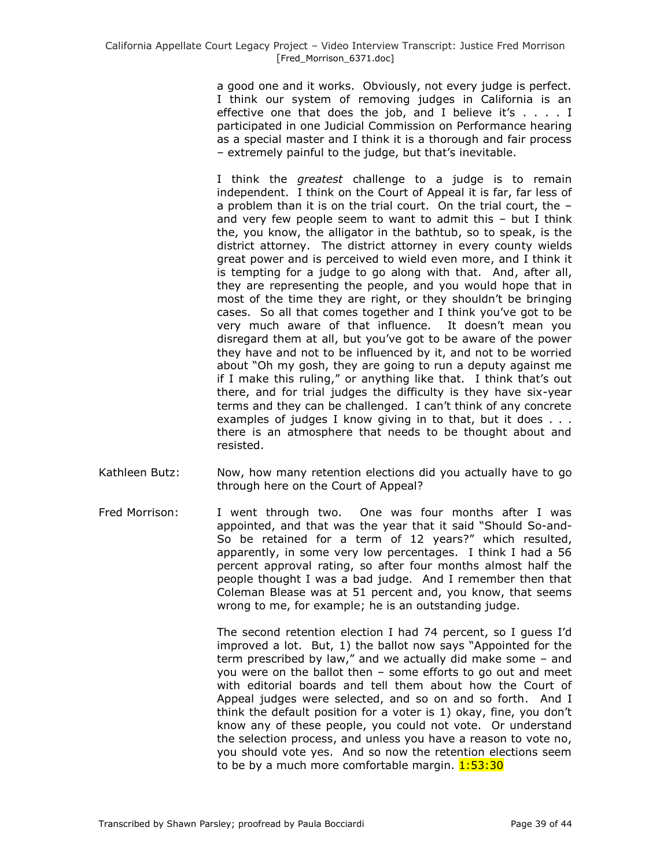a good one and it works. Obviously, not every judge is perfect. I think our system of removing judges in California is an effective one that does the job, and I believe it's  $\ldots$ . I participated in one Judicial Commission on Performance hearing as a special master and I think it is a thorough and fair process – extremely painful to the judge, but that's inevitable.

I think the *greatest* challenge to a judge is to remain independent. I think on the Court of Appeal it is far, far less of a problem than it is on the trial court. On the trial court, the – and very few people seem to want to admit this – but I think the, you know, the alligator in the bathtub, so to speak, is the district attorney. The district attorney in every county wields great power and is perceived to wield even more, and I think it is tempting for a judge to go along with that. And, after all, they are representing the people, and you would hope that in most of the time they are right, or they shouldn't be bringing cases. So all that comes together and I think you've got to be very much aware of that influence. It doesn't mean you disregard them at all, but you've got to be aware of the power they have and not to be influenced by it, and not to be worried about "Oh my gosh, they are going to run a deputy against me if I make this ruling," or anything like that. I think that's out there, and for trial judges the difficulty is they have six-year terms and they can be challenged. I can't think of any concrete examples of judges I know giving in to that, but it does . . . there is an atmosphere that needs to be thought about and resisted.

- Kathleen Butz: Now, how many retention elections did you actually have to go through here on the Court of Appeal?
- Fred Morrison: I went through two. One was four months after I was appointed, and that was the year that it said "Should So-and-So be retained for a term of 12 years?" which resulted, apparently, in some very low percentages. I think I had a 56 percent approval rating, so after four months almost half the people thought I was a bad judge. And I remember then that Coleman Blease was at 51 percent and, you know, that seems wrong to me, for example; he is an outstanding judge.

The second retention election I had 74 percent, so I guess I'd improved a lot. But, 1) the ballot now says "Appointed for the term prescribed by law," and we actually did make some – and you were on the ballot then – some efforts to go out and meet with editorial boards and tell them about how the Court of Appeal judges were selected, and so on and so forth. And I think the default position for a voter is 1) okay, fine, you don't know any of these people, you could not vote. Or understand the selection process, and unless you have a reason to vote no, you should vote yes. And so now the retention elections seem to be by a much more comfortable margin. 1:53:30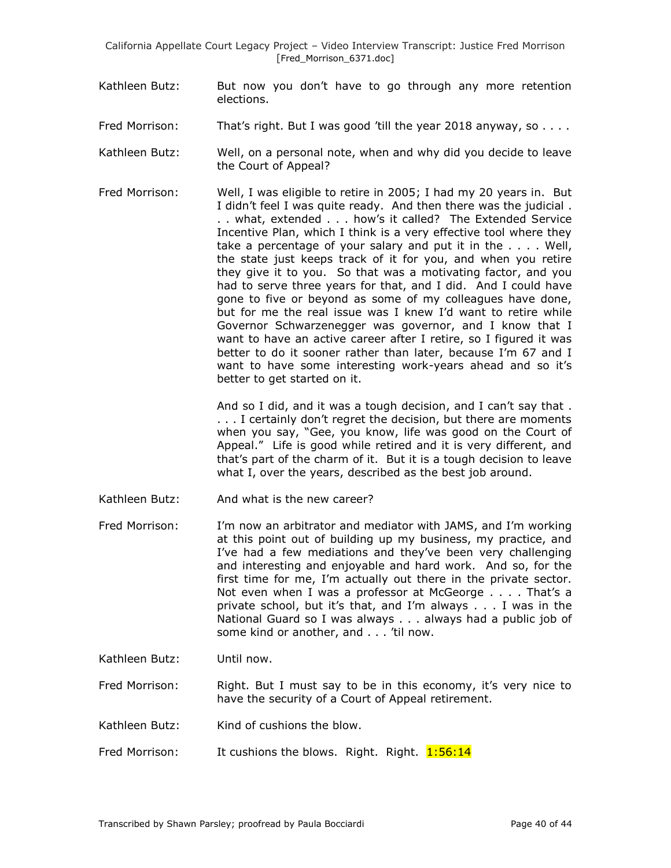- Kathleen Butz: But now you don't have to go through any more retention elections.
- Fred Morrison: That's right. But I was good 'till the year 2018 anyway, so . . . .
- Kathleen Butz: Well, on a personal note, when and why did you decide to leave the Court of Appeal?
- Fred Morrison: Well, I was eligible to retire in 2005; I had my 20 years in. But I didn't feel I was quite ready. And then there was the judicial . . . what, extended . . . how's it called? The Extended Service Incentive Plan, which I think is a very effective tool where they take a percentage of your salary and put it in the . . . . Well, the state just keeps track of it for you, and when you retire they give it to you. So that was a motivating factor, and you had to serve three years for that, and I did. And I could have gone to five or beyond as some of my colleagues have done, but for me the real issue was I knew I'd want to retire while Governor Schwarzenegger was governor, and I know that I want to have an active career after I retire, so I figured it was better to do it sooner rather than later, because I'm 67 and I want to have some interesting work-years ahead and so it's better to get started on it.

And so I did, and it was a tough decision, and I can't say that . . . . I certainly don't regret the decision, but there are moments when you say, "Gee, you know, life was good on the Court of Appeal." Life is good while retired and it is very different, and that's part of the charm of it. But it is a tough decision to leave what I, over the years, described as the best job around.

- Kathleen Butz: And what is the new career?
- Fred Morrison: I'm now an arbitrator and mediator with JAMS, and I'm working at this point out of building up my business, my practice, and I've had a few mediations and they've been very challenging and interesting and enjoyable and hard work. And so, for the first time for me, I'm actually out there in the private sector. Not even when I was a professor at McGeorge . . . . That's a private school, but it's that, and I'm always . . . I was in the National Guard so I was always . . . always had a public job of some kind or another, and . . . 'til now.
- Kathleen Butz: Until now.

Fred Morrison: Right. But I must say to be in this economy, it's very nice to have the security of a Court of Appeal retirement.

- Kathleen Butz: Kind of cushions the blow.
- Fred Morrison: It cushions the blows. Right. Right. 1:56:14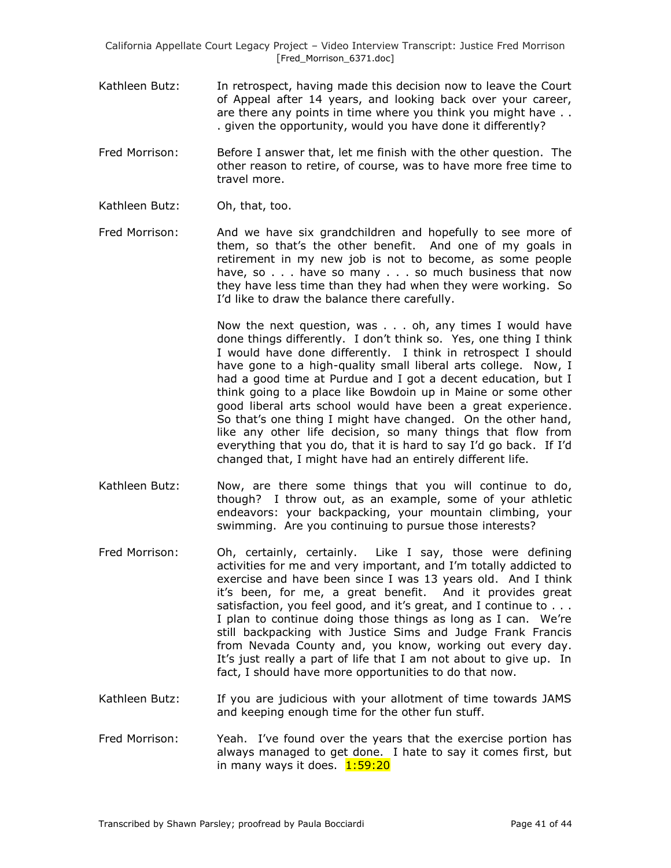- Kathleen Butz: In retrospect, having made this decision now to leave the Court of Appeal after 14 years, and looking back over your career, are there any points in time where you think you might have . . . given the opportunity, would you have done it differently?
- Fred Morrison: Before I answer that, let me finish with the other question. The other reason to retire, of course, was to have more free time to travel more.
- Kathleen Butz: Oh, that, too.
- Fred Morrison: And we have six grandchildren and hopefully to see more of them, so that's the other benefit. And one of my goals in retirement in my new job is not to become, as some people have, so . . . have so many . . . so much business that now they have less time than they had when they were working. So I'd like to draw the balance there carefully.

Now the next question, was . . . oh, any times I would have done things differently. I don't think so. Yes, one thing I think I would have done differently. I think in retrospect I should have gone to a high-quality small liberal arts college. Now, I had a good time at Purdue and I got a decent education, but I think going to a place like Bowdoin up in Maine or some other good liberal arts school would have been a great experience. So that's one thing I might have changed. On the other hand, like any other life decision, so many things that flow from everything that you do, that it is hard to say I'd go back. If I'd changed that, I might have had an entirely different life.

- Kathleen Butz: Now, are there some things that you will continue to do, though? I throw out, as an example, some of your athletic endeavors: your backpacking, your mountain climbing, your swimming. Are you continuing to pursue those interests?
- Fred Morrison: Oh, certainly, certainly. Like I say, those were defining activities for me and very important, and I'm totally addicted to exercise and have been since I was 13 years old. And I think it's been, for me, a great benefit. And it provides great satisfaction, you feel good, and it's great, and I continue to . . . I plan to continue doing those things as long as I can. We're still backpacking with Justice Sims and Judge Frank Francis from Nevada County and, you know, working out every day. It's just really a part of life that I am not about to give up. In fact, I should have more opportunities to do that now.
- Kathleen Butz: If you are judicious with your allotment of time towards JAMS and keeping enough time for the other fun stuff.
- Fred Morrison: Yeah. I've found over the years that the exercise portion has always managed to get done. I hate to say it comes first, but in many ways it does. 1:59:20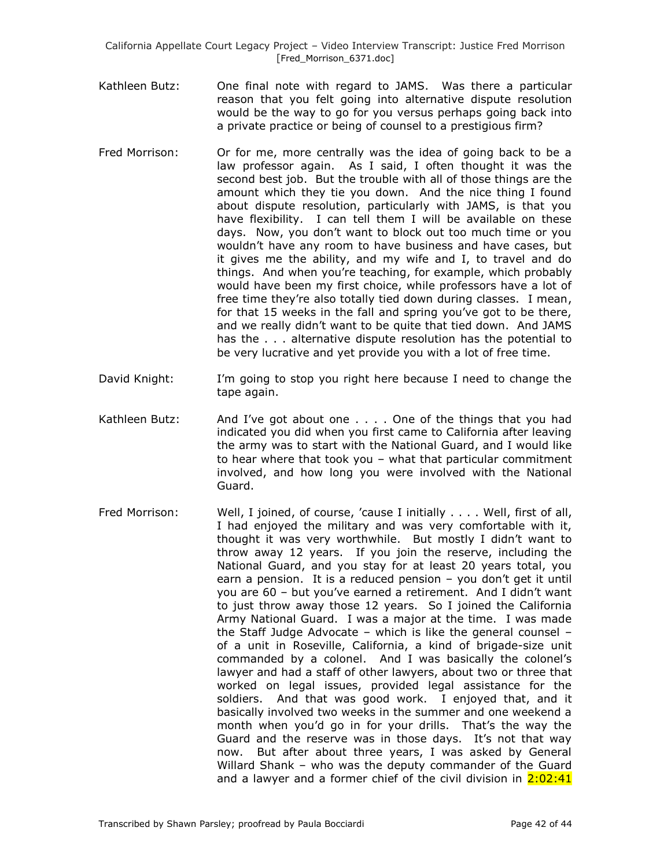- Kathleen Butz: One final note with regard to JAMS. Was there a particular reason that you felt going into alternative dispute resolution would be the way to go for you versus perhaps going back into a private practice or being of counsel to a prestigious firm?
- Fred Morrison: Or for me, more centrally was the idea of going back to be a law professor again. As I said, I often thought it was the second best job. But the trouble with all of those things are the amount which they tie you down. And the nice thing I found about dispute resolution, particularly with JAMS, is that you have flexibility. I can tell them I will be available on these days. Now, you don't want to block out too much time or you wouldn't have any room to have business and have cases, but it gives me the ability, and my wife and I, to travel and do things. And when you're teaching, for example, which probably would have been my first choice, while professors have a lot of free time they're also totally tied down during classes. I mean, for that 15 weeks in the fall and spring you've got to be there, and we really didn't want to be quite that tied down. And JAMS has the . . . alternative dispute resolution has the potential to be very lucrative and yet provide you with a lot of free time.
- David Knight: I'm going to stop you right here because I need to change the tape again.
- Kathleen Butz: And I've got about one . . . . One of the things that you had indicated you did when you first came to California after leaving the army was to start with the National Guard, and I would like to hear where that took you – what that particular commitment involved, and how long you were involved with the National Guard.
- Fred Morrison: Well, I joined, of course, 'cause I initially . . . . Well, first of all, I had enjoyed the military and was very comfortable with it, thought it was very worthwhile. But mostly I didn't want to throw away 12 years. If you join the reserve, including the National Guard, and you stay for at least 20 years total, you earn a pension. It is a reduced pension – you don't get it until you are 60 – but you've earned a retirement. And I didn't want to just throw away those 12 years. So I joined the California Army National Guard. I was a major at the time. I was made the Staff Judge Advocate – which is like the general counsel – of a unit in Roseville, California, a kind of brigade-size unit commanded by a colonel. And I was basically the colonel's lawyer and had a staff of other lawyers, about two or three that worked on legal issues, provided legal assistance for the soldiers. And that was good work. I enjoyed that, and it basically involved two weeks in the summer and one weekend a month when you'd go in for your drills. That's the way the Guard and the reserve was in those days. It's not that way now. But after about three years, I was asked by General Willard Shank – who was the deputy commander of the Guard and a lawyer and a former chief of the civil division in  $2:02:41$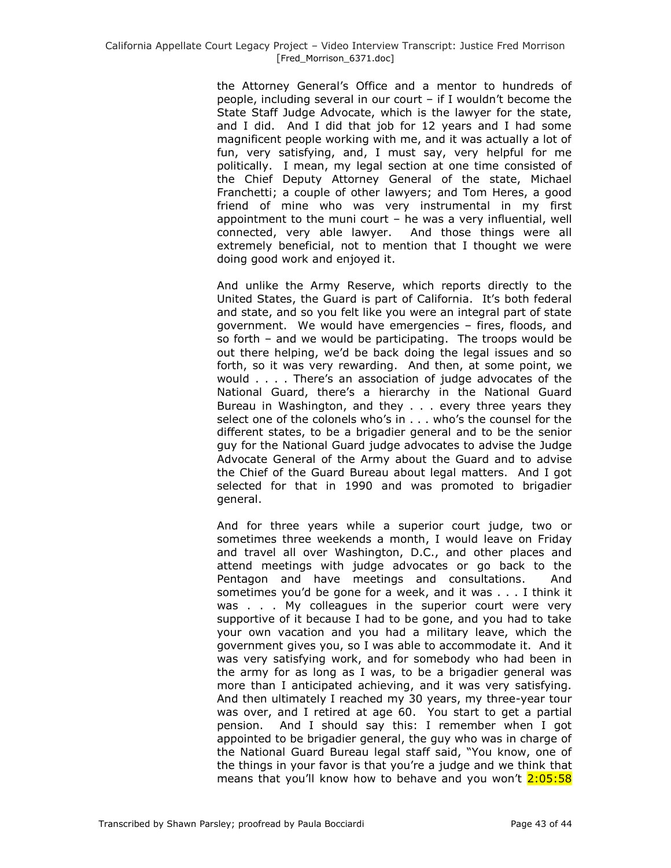the Attorney General's Office and a mentor to hundreds of people, including several in our court – if I wouldn't become the State Staff Judge Advocate, which is the lawyer for the state, and I did. And I did that job for 12 years and I had some magnificent people working with me, and it was actually a lot of fun, very satisfying, and, I must say, very helpful for me politically. I mean, my legal section at one time consisted of the Chief Deputy Attorney General of the state, Michael Franchetti; a couple of other lawyers; and Tom Heres, a good friend of mine who was very instrumental in my first appointment to the muni court – he was a very influential, well connected, very able lawyer. And those things were all extremely beneficial, not to mention that I thought we were doing good work and enjoyed it.

And unlike the Army Reserve, which reports directly to the United States, the Guard is part of California. It's both federal and state, and so you felt like you were an integral part of state government. We would have emergencies – fires, floods, and so forth – and we would be participating. The troops would be out there helping, we'd be back doing the legal issues and so forth, so it was very rewarding. And then, at some point, we would . . . . There's an association of judge advocates of the National Guard, there's a hierarchy in the National Guard Bureau in Washington, and they . . . every three years they select one of the colonels who's in . . . who's the counsel for the different states, to be a brigadier general and to be the senior guy for the National Guard judge advocates to advise the Judge Advocate General of the Army about the Guard and to advise the Chief of the Guard Bureau about legal matters. And I got selected for that in 1990 and was promoted to brigadier general.

And for three years while a superior court judge, two or sometimes three weekends a month, I would leave on Friday and travel all over Washington, D.C., and other places and attend meetings with judge advocates or go back to the Pentagon and have meetings and consultations. And sometimes you'd be gone for a week, and it was . . . I think it was . . . My colleagues in the superior court were very supportive of it because I had to be gone, and you had to take your own vacation and you had a military leave, which the government gives you, so I was able to accommodate it. And it was very satisfying work, and for somebody who had been in the army for as long as I was, to be a brigadier general was more than I anticipated achieving, and it was very satisfying. And then ultimately I reached my 30 years, my three-year tour was over, and I retired at age 60. You start to get a partial pension. And I should say this: I remember when I got appointed to be brigadier general, the guy who was in charge of the National Guard Bureau legal staff said, "You know, one of the things in your favor is that you're a judge and we think that means that you'll know how to behave and you won't 2:05:58